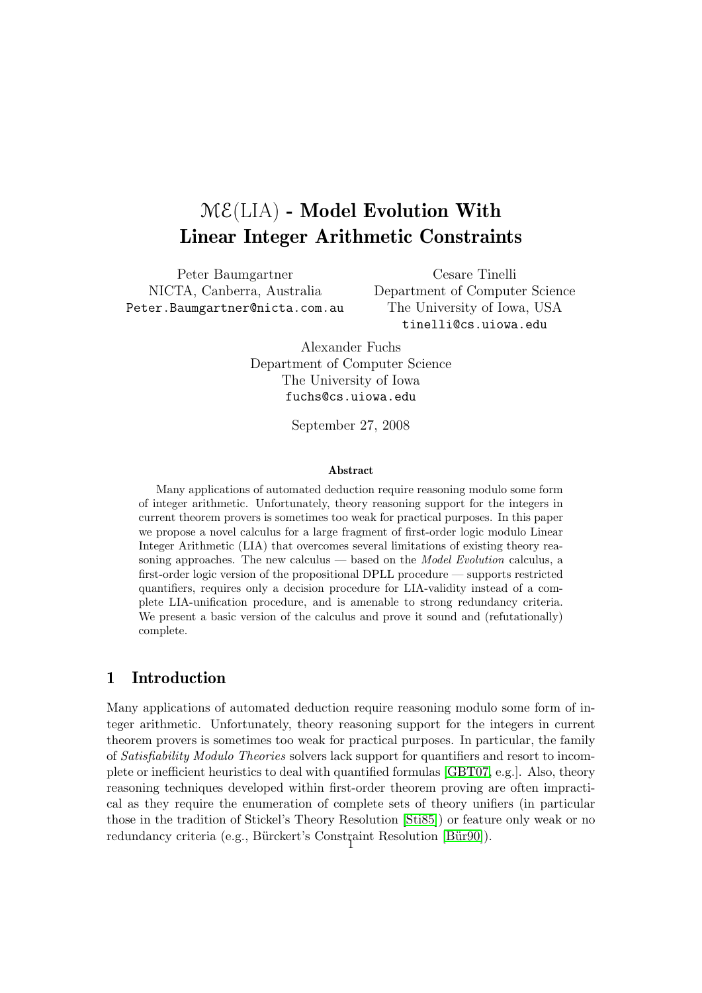# $M\mathcal{E}(LIA)$  - Model Evolution With Linear Integer Arithmetic Constraints

Peter Baumgartner NICTA, Canberra, Australia Peter.Baumgartner@nicta.com.au

Cesare Tinelli Department of Computer Science The University of Iowa, USA tinelli@cs.uiowa.edu

Alexander Fuchs Department of Computer Science The University of Iowa fuchs@cs.uiowa.edu

September 27, 2008

#### Abstract

Many applications of automated deduction require reasoning modulo some form of integer arithmetic. Unfortunately, theory reasoning support for the integers in current theorem provers is sometimes too weak for practical purposes. In this paper we propose a novel calculus for a large fragment of first-order logic modulo Linear Integer Arithmetic (LIA) that overcomes several limitations of existing theory reasoning approaches. The new calculus  $-$  based on the *Model Evolution* calculus, a first-order logic version of the propositional DPLL procedure — supports restricted quantifiers, requires only a decision procedure for LIA-validity instead of a complete LIA-unification procedure, and is amenable to strong redundancy criteria. We present a basic version of the calculus and prove it sound and (refutationally) complete.

## 1 Introduction

Many applications of automated deduction require reasoning modulo some form of integer arithmetic. Unfortunately, theory reasoning support for the integers in current theorem provers is sometimes too weak for practical purposes. In particular, the family of Satisfiability Modulo Theories solvers lack support for quantifiers and resort to incomplete or inefficient heuristics to deal with quantified formulas [\[GBT07,](#page-21-0) e.g.]. Also, theory reasoning techniques developed within first-order theorem proving are often impractical as they require the enumeration of complete sets of theory unifiers (in particular those in the tradition of Stickel's Theory Resolution [\[Sti85\]](#page-22-0)) or feature only weak or no redundancy criteria (e.g., Bürckert's Constraint Resolution [Bür90]).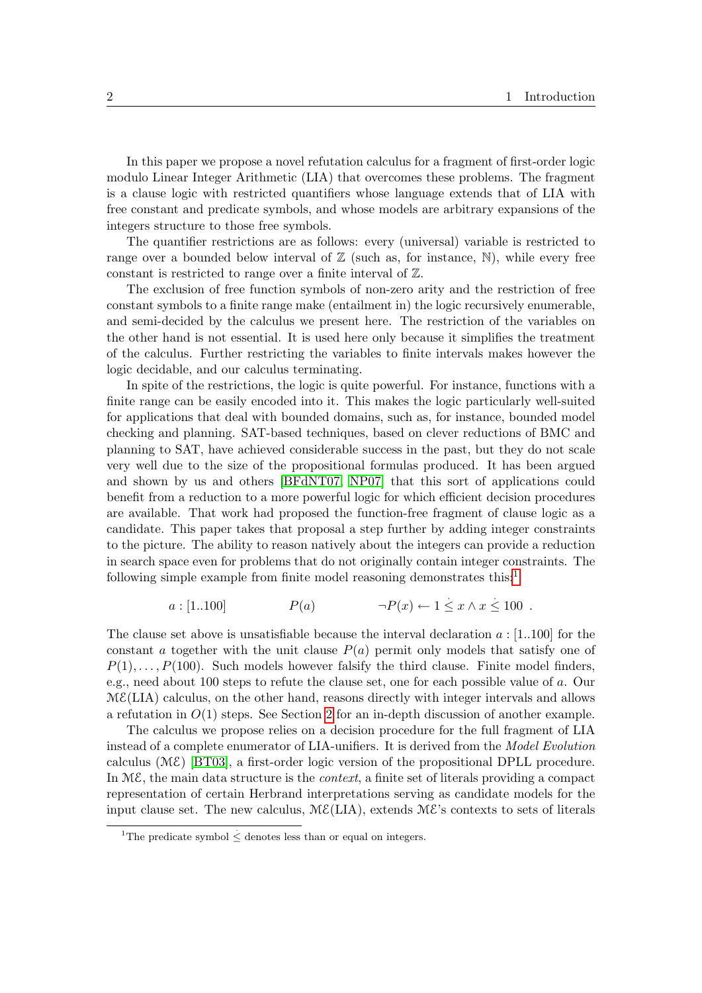In this paper we propose a novel refutation calculus for a fragment of first-order logic modulo Linear Integer Arithmetic (LIA) that overcomes these problems. The fragment is a clause logic with restricted quantifiers whose language extends that of LIA with free constant and predicate symbols, and whose models are arbitrary expansions of the integers structure to those free symbols.

The quantifier restrictions are as follows: every (universal) variable is restricted to range over a bounded below interval of  $\mathbb Z$  (such as, for instance, N), while every free constant is restricted to range over a finite interval of Z.

The exclusion of free function symbols of non-zero arity and the restriction of free constant symbols to a finite range make (entailment in) the logic recursively enumerable, and semi-decided by the calculus we present here. The restriction of the variables on the other hand is not essential. It is used here only because it simplifies the treatment of the calculus. Further restricting the variables to finite intervals makes however the logic decidable, and our calculus terminating.

In spite of the restrictions, the logic is quite powerful. For instance, functions with a finite range can be easily encoded into it. This makes the logic particularly well-suited for applications that deal with bounded domains, such as, for instance, bounded model checking and planning. SAT-based techniques, based on clever reductions of BMC and planning to SAT, have achieved considerable success in the past, but they do not scale very well due to the size of the propositional formulas produced. It has been argued and shown by us and others [\[BFdNT07,](#page-21-2) [NP07\]](#page-22-1) that this sort of applications could benefit from a reduction to a more powerful logic for which efficient decision procedures are available. That work had proposed the function-free fragment of clause logic as a candidate. This paper takes that proposal a step further by adding integer constraints to the picture. The ability to reason natively about the integers can provide a reduction in search space even for problems that do not originally contain integer constraints. The following simple example from finite model reasoning demonstrates this: $<sup>1</sup>$  $<sup>1</sup>$  $<sup>1</sup>$ </sup>

$$
a: [1..100] \qquad P(a) \qquad \neg P(x) \leftarrow 1 \leq x \land x \leq 100 \ .
$$

The clause set above is unsatisfiable because the interval declaration  $a : [1..100]$  for the constant a together with the unit clause  $P(a)$  permit only models that satisfy one of  $P(1), \ldots, P(100)$ . Such models however falsify the third clause. Finite model finders, e.g., need about 100 steps to refute the clause set, one for each possible value of a. Our  $ME(LIA)$  calculus, on the other hand, reasons directly with integer intervals and allows a refutation in  $O(1)$  steps. See Section [2](#page-3-0) for an in-depth discussion of another example.

The calculus we propose relies on a decision procedure for the full fragment of LIA instead of a complete enumerator of LIA-unifiers. It is derived from the Model Evolution calculus (ME) [\[BT03\]](#page-21-3), a first-order logic version of the propositional DPLL procedure. In  $M\mathcal{E}$ , the main data structure is the *context*, a finite set of literals providing a compact representation of certain Herbrand interpretations serving as candidate models for the input clause set. The new calculus,  $M\mathcal{E}(LIA)$ , extends  $M\mathcal{E}'$ 's contexts to sets of literals

<span id="page-1-0"></span><sup>&</sup>lt;sup>1</sup>The predicate symbol  $\leq$  denotes less than or equal on integers.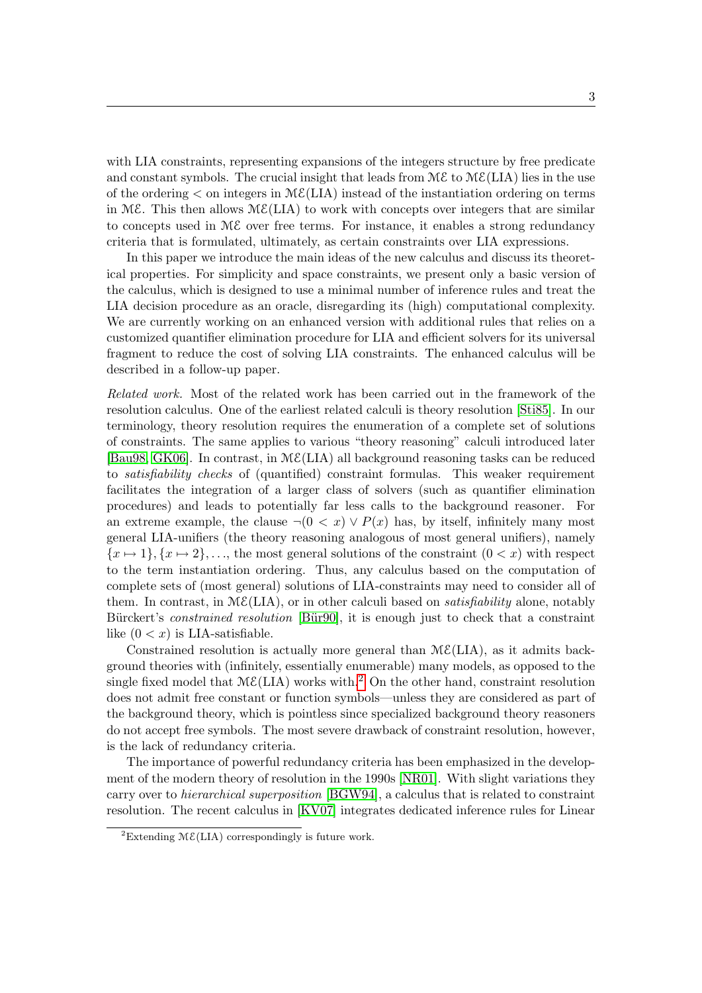with LIA constraints, representing expansions of the integers structure by free predicate and constant symbols. The crucial insight that leads from  $\mathcal{M}\mathcal{E}$  to  $\mathcal{M}\mathcal{E}(LIA)$  lies in the use of the ordering  $\lt$  on integers in  $\mathcal{M}\mathcal{E}(LIA)$  instead of the instantiation ordering on terms in ME. This then allows  $M\mathcal{E}(LIA)$  to work with concepts over integers that are similar to concepts used in ME over free terms. For instance, it enables a strong redundancy criteria that is formulated, ultimately, as certain constraints over LIA expressions.

In this paper we introduce the main ideas of the new calculus and discuss its theoretical properties. For simplicity and space constraints, we present only a basic version of the calculus, which is designed to use a minimal number of inference rules and treat the LIA decision procedure as an oracle, disregarding its (high) computational complexity. We are currently working on an enhanced version with additional rules that relies on a customized quantifier elimination procedure for LIA and efficient solvers for its universal fragment to reduce the cost of solving LIA constraints. The enhanced calculus will be described in a follow-up paper.

Related work. Most of the related work has been carried out in the framework of the resolution calculus. One of the earliest related calculi is theory resolution [\[Sti85\]](#page-22-0). In our terminology, theory resolution requires the enumeration of a complete set of solutions of constraints. The same applies to various "theory reasoning" calculi introduced later [\[Bau98,](#page-21-4) [GK06\]](#page-21-5). In contrast, in  $M\mathcal{E}(LIA)$  all background reasoning tasks can be reduced to satisfiability checks of (quantified) constraint formulas. This weaker requirement facilitates the integration of a larger class of solvers (such as quantifier elimination procedures) and leads to potentially far less calls to the background reasoner. For an extreme example, the clause  $\neg(0 \lt x) \vee P(x)$  has, by itself, infinitely many most general LIA-unifiers (the theory reasoning analogous of most general unifiers), namely  ${x \mapsto 1}, {x \mapsto 2}, \ldots$ , the most general solutions of the constraint  $(0 < x)$  with respect to the term instantiation ordering. Thus, any calculus based on the computation of complete sets of (most general) solutions of LIA-constraints may need to consider all of them. In contrast, in  $M\mathcal{E}(LIA)$ , or in other calculi based on *satisfiability* alone, notably Bürckert's *constrained resolution* [Bür90], it is enough just to check that a constraint like  $(0 < x)$  is LIA-satisfiable.

Constrained resolution is actually more general than  $M\mathcal{E}(LIA)$ , as it admits background theories with (infinitely, essentially enumerable) many models, as opposed to the single fixed model that  $M\mathcal{E}(LIA)$  works with.<sup>[2](#page-2-0)</sup> On the other hand, constraint resolution does not admit free constant or function symbols—unless they are considered as part of the background theory, which is pointless since specialized background theory reasoners do not accept free symbols. The most severe drawback of constraint resolution, however, is the lack of redundancy criteria.

The importance of powerful redundancy criteria has been emphasized in the development of the modern theory of resolution in the 1990s [\[NR01\]](#page-22-2). With slight variations they carry over to hierarchical superposition [\[BGW94\]](#page-21-6), a calculus that is related to constraint resolution. The recent calculus in [\[KV07\]](#page-21-7) integrates dedicated inference rules for Linear

<span id="page-2-0"></span><sup>&</sup>lt;sup>2</sup>Extending  $M\mathcal{E}(LIA)$  correspondingly is future work.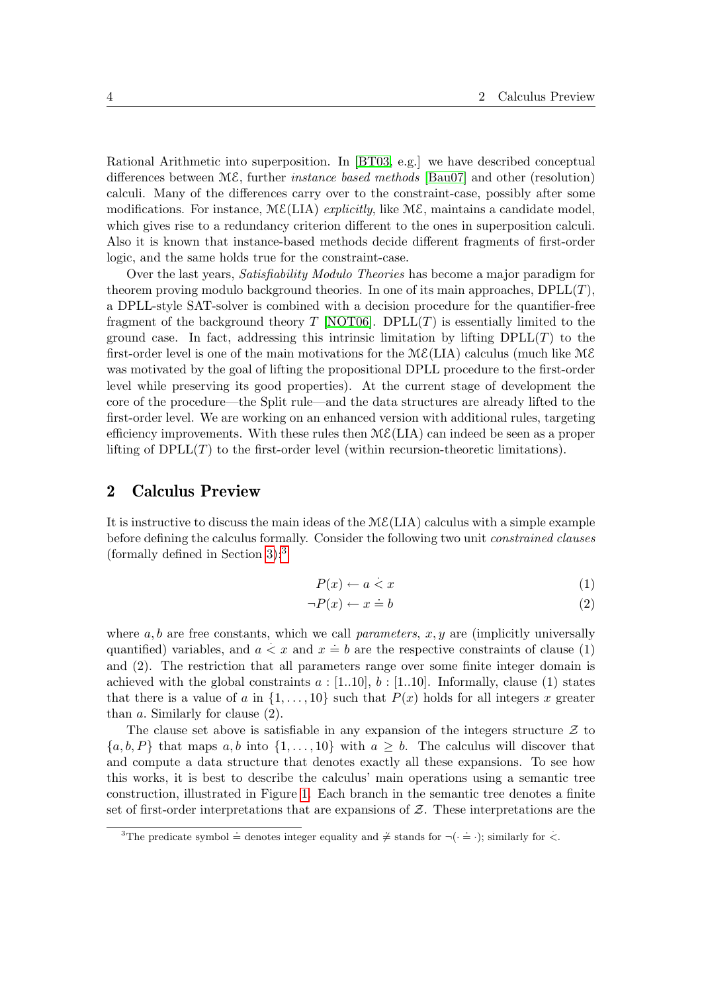Rational Arithmetic into superposition. In [\[BT03,](#page-21-3) e.g.] we have described conceptual differences between  $M\mathcal{E}$ , further *instance based methods* [\[Bau07\]](#page-21-8) and other (resolution) calculi. Many of the differences carry over to the constraint-case, possibly after some modifications. For instance,  $M\mathcal{E}(LIA)$  explicitly, like  $M\mathcal{E}$ , maintains a candidate model, which gives rise to a redundancy criterion different to the ones in superposition calculi. Also it is known that instance-based methods decide different fragments of first-order logic, and the same holds true for the constraint-case.

Over the last years, Satisfiability Modulo Theories has become a major paradigm for theorem proving modulo background theories. In one of its main approaches,  $DPLL(T)$ , a DPLL-style SAT-solver is combined with a decision procedure for the quantifier-free fragment of the background theory  $T$  [\[NOT06\]](#page-22-3). DPLL $(T)$  is essentially limited to the ground case. In fact, addressing this intrinsic limitation by lifting  $DPLL(T)$  to the first-order level is one of the main motivations for the  $M\mathcal{E}(LIA)$  calculus (much like  $M\mathcal{E}$ was motivated by the goal of lifting the propositional DPLL procedure to the first-order level while preserving its good properties). At the current stage of development the core of the procedure—the Split rule—and the data structures are already lifted to the first-order level. We are working on an enhanced version with additional rules, targeting efficiency improvements. With these rules then  $M\mathcal{E}(LIA)$  can indeed be seen as a proper lifting of  $DPLL(T)$  to the first-order level (within recursion-theoretic limitations).

### <span id="page-3-0"></span>2 Calculus Preview

It is instructive to discuss the main ideas of the  $M\mathcal{E}(LIA)$  calculus with a simple example before defining the calculus formally. Consider the following two unit constrained clauses (formally defined in Section  $3$ ):<sup>3</sup>

$$
P(x) \leftarrow a < x \tag{1}
$$

$$
\neg P(x) \leftarrow x \doteq b \tag{2}
$$

where  $a, b$  are free constants, which we call *parameters*,  $x, y$  are (implicitly universally quantified) variables, and  $a \leq x$  and  $x \neq b$  are the respective constraints of clause (1) and (2). The restriction that all parameters range over some finite integer domain is achieved with the global constraints  $a : [1..10], b : [1..10]$ . Informally, clause (1) states that there is a value of a in  $\{1, \ldots, 10\}$  such that  $P(x)$  holds for all integers x greater than  $a$ . Similarly for clause  $(2)$ .

The clause set above is satisfiable in any expansion of the integers structure  $\mathcal Z$  to  $\{a, b, P\}$  that maps  $a, b$  into  $\{1, \ldots, 10\}$  with  $a \geq b$ . The calculus will discover that and compute a data structure that denotes exactly all these expansions. To see how this works, it is best to describe the calculus' main operations using a semantic tree construction, illustrated in Figure [1.](#page-4-0) Each branch in the semantic tree denotes a finite set of first-order interpretations that are expansions of  $Z$ . These interpretations are the

<span id="page-3-1"></span><sup>&</sup>lt;sup>3</sup>The predicate symbol  $\stackrel{\sim}{=}$  denotes integer equality and  $\neq$  stands for  $\neg(\cdot \stackrel{\sim}{=} \cdot)$ ; similarly for  $\lt$ .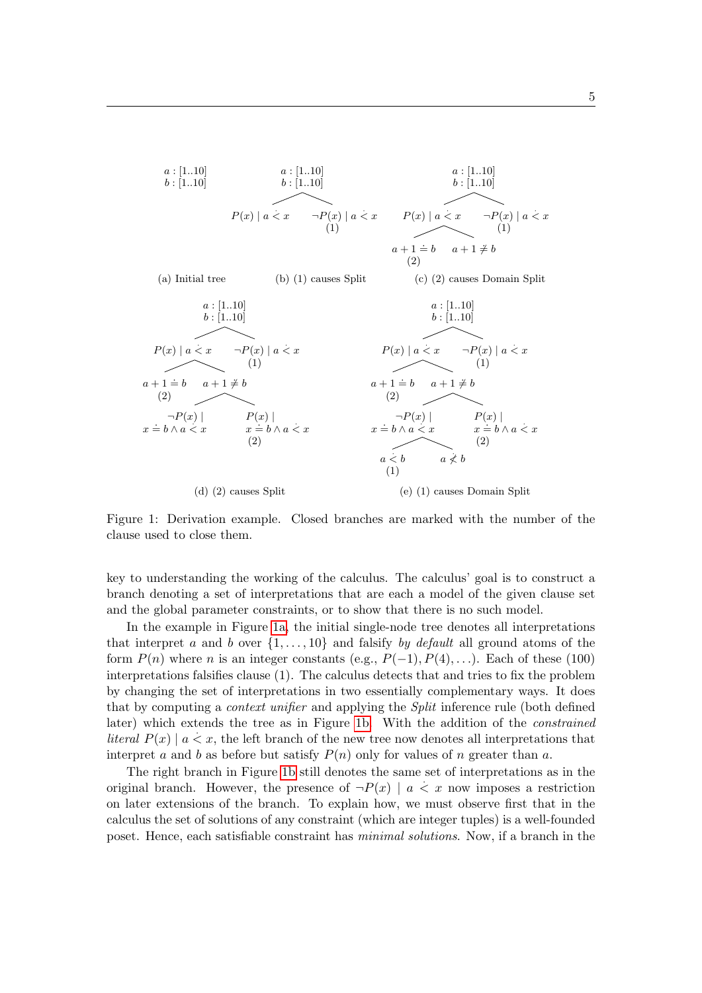<span id="page-4-4"></span><span id="page-4-3"></span><span id="page-4-2"></span><span id="page-4-1"></span>

<span id="page-4-5"></span><span id="page-4-0"></span>Figure 1: Derivation example. Closed branches are marked with the number of the clause used to close them.

key to understanding the working of the calculus. The calculus' goal is to construct a branch denoting a set of interpretations that are each a model of the given clause set and the global parameter constraints, or to show that there is no such model.

In the example in Figure [1a,](#page-4-1) the initial single-node tree denotes all interpretations that interpret a and b over  $\{1, \ldots, 10\}$  and falsify by default all ground atoms of the form  $P(n)$  where n is an integer constants (e.g.,  $P(-1)$ ,  $P(4)$ ,...). Each of these (100) interpretations falsifies clause (1). The calculus detects that and tries to fix the problem by changing the set of interpretations in two essentially complementary ways. It does that by computing a *context unifier* and applying the *Split* inference rule (both defined later) which extends the tree as in Figure [1b.](#page-4-2) With the addition of the constrained literal  $P(x) | a \lt x$ , the left branch of the new tree now denotes all interpretations that interpret a and b as before but satisfy  $P(n)$  only for values of n greater than a.

The right branch in Figure [1b](#page-4-2) still denotes the same set of interpretations as in the original branch. However, the presence of  $\neg P(x) \mid a \leq x$  now imposes a restriction on later extensions of the branch. To explain how, we must observe first that in the calculus the set of solutions of any constraint (which are integer tuples) is a well-founded poset. Hence, each satisfiable constraint has minimal solutions. Now, if a branch in the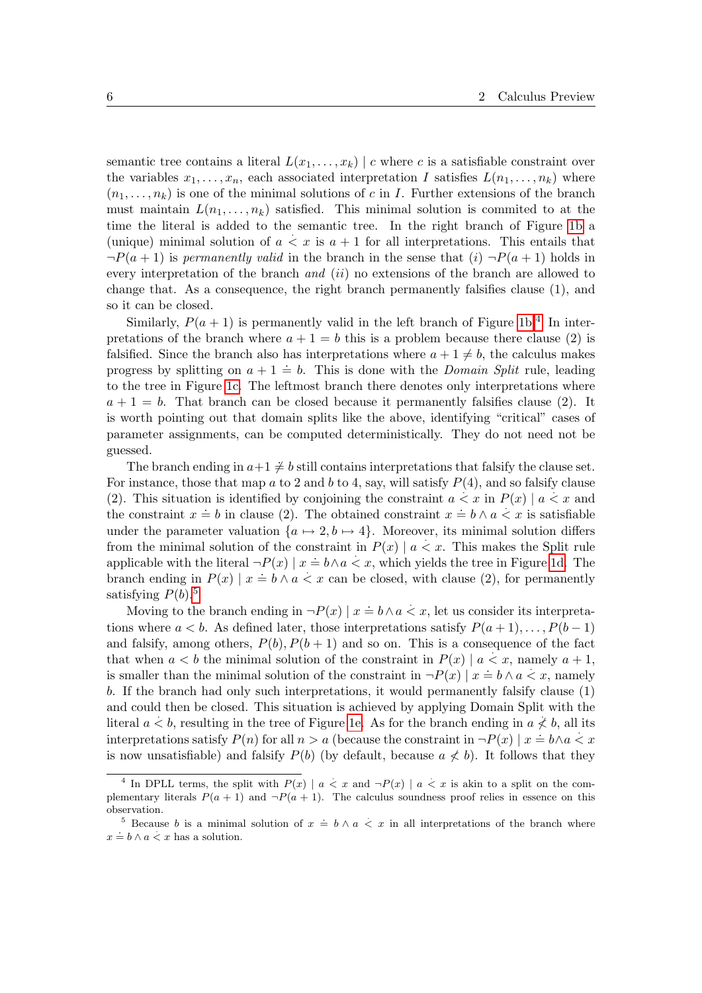semantic tree contains a literal  $L(x_1, \ldots, x_k)$  | c where c is a satisfiable constraint over the variables  $x_1, \ldots, x_n$ , each associated interpretation I satisfies  $L(n_1, \ldots, n_k)$  where  $(n_1, \ldots, n_k)$  is one of the minimal solutions of c in I. Further extensions of the branch must maintain  $L(n_1, \ldots, n_k)$  satisfied. This minimal solution is commited to at the time the literal is added to the semantic tree. In the right branch of Figure [1b](#page-4-2) a (unique) minimal solution of  $a \leq x$  is  $a + 1$  for all interpretations. This entails that  $\neg P(a + 1)$  is permanently valid in the branch in the sense that  $(i)$   $\neg P(a + 1)$  holds in every interpretation of the branch *and*  $(ii)$  no extensions of the branch are allowed to change that. As a consequence, the right branch permanently falsifies clause (1), and so it can be closed.

Similarly,  $P(a + 1)$  is permanently valid in the left branch of Figure [1b.](#page-4-2)<sup>[4](#page-5-0)</sup> In interpretations of the branch where  $a + 1 = b$  this is a problem because there clause (2) is falsified. Since the branch also has interpretations where  $a + 1 \neq b$ , the calculus makes progress by splitting on  $a + 1 = b$ . This is done with the *Domain Split* rule, leading to the tree in Figure [1c.](#page-4-3) The leftmost branch there denotes only interpretations where  $a + 1 = b$ . That branch can be closed because it permanently falsifies clause (2). It is worth pointing out that domain splits like the above, identifying "critical" cases of parameter assignments, can be computed deterministically. They do not need not be guessed.

The branch ending in  $a+1\neq b$  still contains interpretations that falsify the clause set. For instance, those that map a to 2 and b to 4, say, will satisfy  $P(4)$ , and so falsify clause (2). This situation is identified by conjoining the constraint  $a < x$  in  $P(x) | a < x$  and the constraint  $x = b$  in clause (2). The obtained constraint  $x = b \land a \leq x$  is satisfiable under the parameter valuation  $\{a \mapsto 2, b \mapsto 4\}$ . Moreover, its minimal solution differs from the minimal solution of the constraint in  $P(x) | a \lt x$ . This makes the Split rule applicable with the literal  $\neg P(x) \mid x = b \land a < x$ , which yields the tree in Figure [1d.](#page-4-4) The branch ending in  $P(x) | x \doteq b \land a \leq x$  can be closed, with clause (2), for permanently satisfying  $P(b)$ .<sup>[5](#page-5-1)</sup>

Moving to the branch ending in  $\neg P(x) \mid x = b \land a < x$ , let us consider its interpretations where  $a < b$ . As defined later, those interpretations satisfy  $P(a + 1), \ldots, P(b-1)$ and falsify, among others,  $P(b), P(b + 1)$  and so on. This is a consequence of the fact that when  $a < b$  the minimal solution of the constraint in  $P(x) | a < x$ , namely  $a + 1$ , is smaller than the minimal solution of the constraint in  $\neg P(x) \mid x = b \land a \leq x$ , namely  $x \neq 0$ . b. If the branch had only such interpretations, it would permanently falsify clause (1) and could then be closed. This situation is achieved by applying Domain Split with the literal  $a < b$ , resulting in the tree of Figure [1e.](#page-4-5) As for the branch ending in  $a \nless b$ , all its interpretations satisfy  $P(n)$  for all  $n > a$  (because the constraint in  $\neg P(x) \mid x = b \land a < x$ is now unsatisfiable) and falsify  $P(b)$  (by default, because  $a \nless b$ ). It follows that they

<span id="page-5-0"></span><sup>&</sup>lt;sup>4</sup> In DPLL terms, the split with  $P(x) | a < x$  and  $\neg P(x) | a < x$  is akin to a split on the complementary literals  $P(a + 1)$  and  $\neg P(a + 1)$ . The calculus soundness proof relies in essence on this observation.

<span id="page-5-1"></span><sup>&</sup>lt;sup>5</sup> Because *b* is a minimal solution of  $x = b \land a < x$  in all interpretations of the branch where  $x \doteq b \wedge a < x$  has a solution.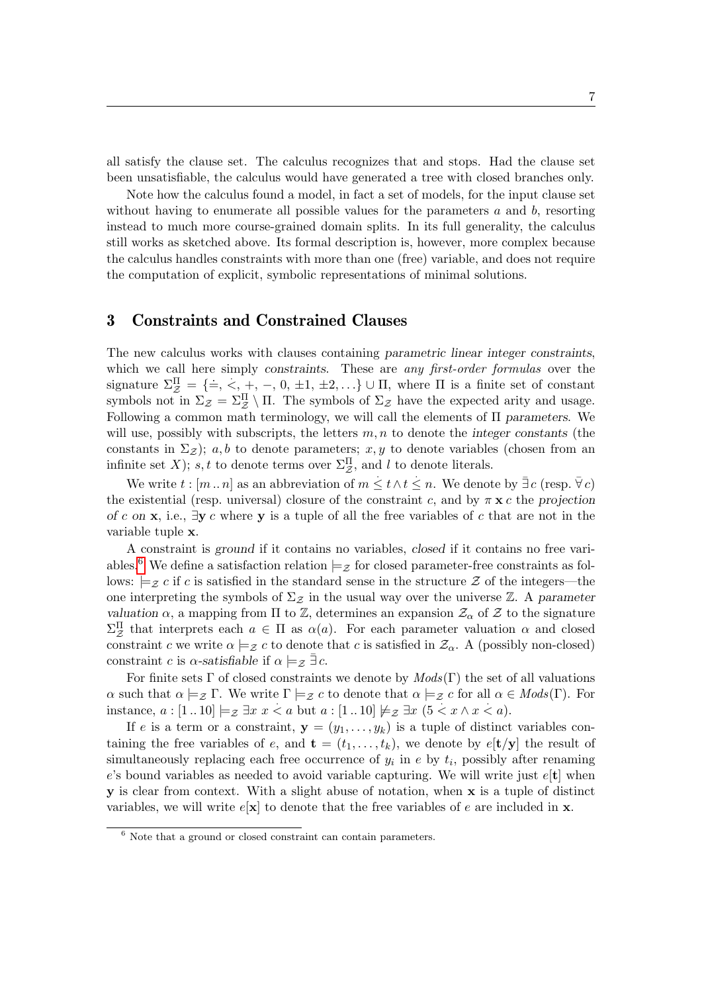all satisfy the clause set. The calculus recognizes that and stops. Had the clause set been unsatisfiable, the calculus would have generated a tree with closed branches only.

Note how the calculus found a model, in fact a set of models, for the input clause set without having to enumerate all possible values for the parameters  $a$  and  $b$ , resorting instead to much more course-grained domain splits. In its full generality, the calculus still works as sketched above. Its formal description is, however, more complex because the calculus handles constraints with more than one (free) variable, and does not require the computation of explicit, symbolic representations of minimal solutions.

## <span id="page-6-0"></span>3 Constraints and Constrained Clauses

The new calculus works with clauses containing parametric linear integer constraints, which we call here simply constraints. These are any first-order formulas over the signature  $\Sigma_Z^{\Pi} = {\implies} \langle \cdot, +, -, 0, \pm 1, \pm 2, ...\rangle \cup \Pi$ , where  $\Pi$  is a finite set of constant symbols not in  $\Sigma_{\mathcal{Z}} = \Sigma_{\mathcal{Z}}^{\Pi} \setminus \Pi$ . The symbols of  $\Sigma_{\mathcal{Z}}$  have the expected arity and usage. Following a common math terminology, we will call the elements of Π parameters. We will use, possibly with subscripts, the letters  $m, n$  to denote the integer constants (the constants in  $\Sigma_{\mathcal{Z}}$ ); a, b to denote parameters; x, y to denote variables (chosen from an infinite set X); s, t to denote terms over  $\Sigma_{\mathcal{Z}}^{\Pi}$ , and l to denote literals.

We write  $t : [m \dots n]$  as an abbreviation of  $m \leq t \wedge t \leq n$ . We denote by  $\bar{\exists} c$  (resp.  $\bar{\forall} c$ ) the existential (resp. universal) closure of the constraint c, and by  $\pi \times c$  the projection of c on x, i.e.,  $\exists y c$  where y is a tuple of all the free variables of c that are not in the variable tuple x.

A constraint is ground if it contains no variables, closed if it contains no free vari-ables.<sup>[6](#page-6-1)</sup> We define a satisfaction relation  $\models z$  for closed parameter-free constraints as follows:  $\models$ z c if c is satisfied in the standard sense in the structure Z of the integers—the one interpreting the symbols of  $\Sigma_{\mathcal{Z}}$  in the usual way over the universe Z. A parameter valuation  $\alpha$ , a mapping from  $\Pi$  to  $\mathbb{Z}$ , determines an expansion  $\mathcal{Z}_{\alpha}$  of  $\mathcal Z$  to the signature  $\Sigma_{\mathcal{Z}}^{\Pi}$  that interprets each  $a \in \Pi$  as  $\alpha(a)$ . For each parameter valuation  $\alpha$  and closed constraint c we write  $\alpha \models_{\mathcal{Z}} c$  to denote that c is satisfied in  $\mathcal{Z}_{\alpha}$ . A (possibly non-closed) constraint c is  $\alpha$ -satisfiable if  $\alpha \models_{\mathcal{Z}} \exists c$ .

For finite sets  $\Gamma$  of closed constraints we denote by  $Mods(\Gamma)$  the set of all valuations  $\alpha$  such that  $\alpha \models_{\mathcal{Z}} \Gamma$ . We write  $\Gamma \models_{\mathcal{Z}} c$  to denote that  $\alpha \models_{\mathcal{Z}} c$  for all  $\alpha \in Mod_{\mathcal{S}}(\Gamma)$ . For instance,  $a : [1..10] \models_{\mathcal{Z}} \exists x \ x < a \text{ but } a : [1..10] \not\models_{\mathcal{Z}} \exists x \ (\dots \infty \land x < a).$ 

If e is a term or a constraint,  $y = (y_1, \ldots, y_k)$  is a tuple of distinct variables containing the free variables of e, and  $\mathbf{t} = (t_1, \ldots, t_k)$ , we denote by  $e[\mathbf{t}/\mathbf{y}]$  the result of simultaneously replacing each free occurrence of  $y_i$  in e by  $t_i$ , possibly after renaming e's bound variables as needed to avoid variable capturing. We will write just  $e[t]$  when y is clear from context. With a slight abuse of notation, when x is a tuple of distinct variables, we will write  $e[x]$  to denote that the free variables of e are included in **x**.

<span id="page-6-1"></span> $6$  Note that a ground or closed constraint can contain parameters.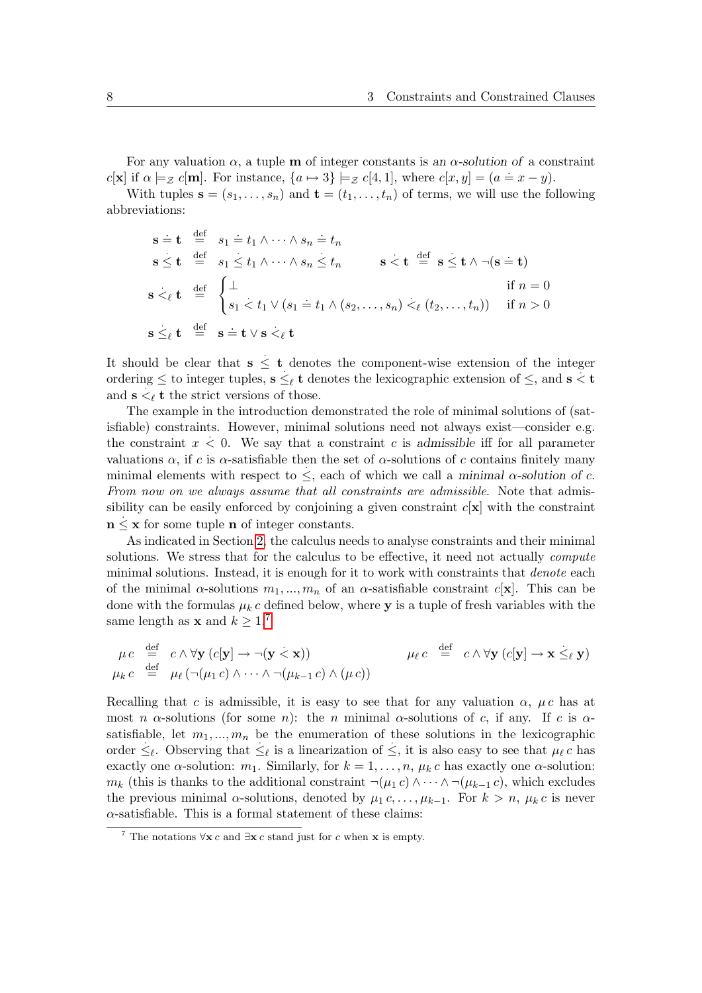For any valuation  $\alpha$ , a tuple **m** of integer constants is an  $\alpha$ -solution of a constraint c[x] if  $\alpha \models z$  c[m]. For instance,  $\{a \mapsto 3\} \models z$  c[4, 1], where c[x, y] =  $(a \Rightarrow x - y)$ .

With tuples  $\mathbf{s} = (s_1, \ldots, s_n)$  and  $\mathbf{t} = (t_1, \ldots, t_n)$  of terms, we will use the following abbreviations:

$$
\begin{array}{rcl}\n\mathbf{s} \doteq \mathbf{t} & \stackrel{\text{def}}{=} & s_1 \doteq t_1 \wedge \dots \wedge s_n \doteq t_n \\
\mathbf{s} \leq \mathbf{t} & \stackrel{\text{def}}{=} & s_1 \leq t_1 \wedge \dots \wedge s_n \leq t_n \\
\mathbf{s} <_{\ell} \mathbf{t} & \stackrel{\text{def}}{=} & \begin{cases}\n\perp & \text{if } n = 0 \\
s_1 < t_1 \vee (s_1 = t_1 \wedge (s_2, \dots, s_n) <_{\ell} (t_2, \dots, t_n))\n\end{cases} & \text{if } n > 0\n\end{array}
$$
\n
$$
\mathbf{s} \leq_{\ell} \mathbf{t} & \stackrel{\text{def}}{=} & \mathbf{s} \doteq \mathbf{t} \vee \mathbf{s} <_{\ell} \mathbf{t}
$$

It should be clear that  $s \leq t$  denotes the component-wise extension of the integer ordering  $\leq$  to integer tuples,  $\mathbf{s} \leq_{\ell} \mathbf{t}$  denotes the lexicographic extension of  $\leq$ , and  $\mathbf{s} < \mathbf{t}$ and  $\mathbf{s} \leq_{\ell} \mathbf{t}$  the strict versions of those.

The example in the introduction demonstrated the role of minimal solutions of (satisfiable) constraints. However, minimal solutions need not always exist—consider e.g. the constraint  $x < 0$ . We say that a constraint c is admissible iff for all parameter valuations  $\alpha$ , if c is  $\alpha$ -satisfiable then the set of  $\alpha$ -solutions of c contains finitely many minimal elements with respect to  $\leq$ , each of which we call a minimal  $\alpha$ -solution of c. From now on we always assume that all constraints are admissible. Note that admissibility can be easily enforced by conjoining a given constraint  $c[\mathbf{x}]$  with the constraint  $n \leq x$  for some tuple n of integer constants.

As indicated in Section [2,](#page-3-0) the calculus needs to analyse constraints and their minimal solutions. We stress that for the calculus to be effective, it need not actually compute minimal solutions. Instead, it is enough for it to work with constraints that denote each of the minimal  $\alpha$ -solutions  $m_1, ..., m_n$  of an  $\alpha$ -satisfiable constraint  $c[\mathbf{x}]$ . This can be done with the formulas  $\mu_k c$  defined below, where y is a tuple of fresh variables with the same length as **x** and  $k \geq 1$ .

$$
\mu c \stackrel{\text{def}}{=} c \wedge \forall \mathbf{y} (c[\mathbf{y}] \rightarrow \neg(\mathbf{y} \leq \mathbf{x})) \qquad \qquad \mu_{\ell} c \stackrel{\text{def}}{=} c \wedge \forall \mathbf{y} (c[\mathbf{y}] \rightarrow \mathbf{x} \leq_{\ell} \mathbf{y})
$$
\n
$$
\mu_{k} c \stackrel{\text{def}}{=} \mu_{\ell} (\neg(\mu_{1} c) \wedge \dots \wedge \neg(\mu_{k-1} c) \wedge (\mu c))
$$

Recalling that c is admissible, it is easy to see that for any valuation  $\alpha$ ,  $\mu c$  has at most n  $\alpha$ -solutions (for some n): the n minimal  $\alpha$ -solutions of c, if any. If c is  $\alpha$ satisfiable, let  $m_1, ..., m_n$  be the enumeration of these solutions in the lexicographic order  $\leq_{\ell}$ . Observing that  $\leq_{\ell}$  is a linearization of  $\leq$ , it is also easy to see that  $\mu_{\ell} c$  has exactly one  $\alpha$ -solution:  $m_1$ . Similarly, for  $k = 1, \ldots, n$ ,  $\mu_k c$  has exactly one  $\alpha$ -solution:  $m_k$  (this is thanks to the additional constraint  $\neg(\mu_1 c) \wedge \cdots \wedge \neg(\mu_{k-1} c)$ , which excludes the previous minimal  $\alpha$ -solutions, denoted by  $\mu_1 c, \ldots, \mu_{k-1}$ . For  $k > n$ ,  $\mu_k c$  is never  $\alpha$ -satisfiable. This is a formal statement of these claims:

<span id="page-7-1"></span><span id="page-7-0"></span><sup>&</sup>lt;sup>7</sup> The notations  $\forall$ **x** c and  $\exists$ **x** c stand just for c when **x** is empty.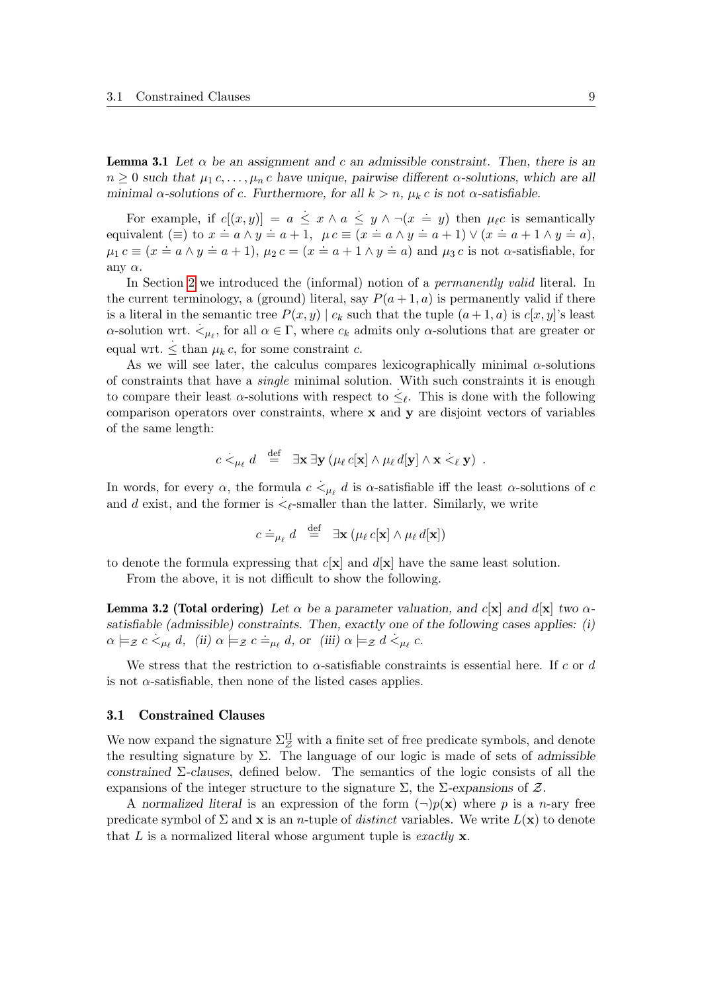**Lemma 3.1** Let  $\alpha$  be an assignment and c an admissible constraint. Then, there is an  $n \geq 0$  such that  $\mu_1 c, \ldots, \mu_n c$  have unique, pairwise different  $\alpha$ -solutions, which are all minimal  $\alpha$ -solutions of c. Furthermore, for all  $k > n$ ,  $\mu_k c$  is not  $\alpha$ -satisfiable.

For example, if  $c[(x, y)] = a \leq x \wedge a \leq y \wedge \neg(x = y)$  then  $\mu_{\ell}c$  is semantically equivalent (≡) to  $x = a \wedge y = a + 1$ ,  $\mu c \equiv (x = a \wedge y = a + 1) \vee (x = a + 1 \wedge y = a)$ ,  $\mu_1 c \equiv (x \doteq a \land y \doteq a+1), \mu_2 c = (x \doteq a+1 \land y \doteq a) \text{ and } \mu_3 c \text{ is not } \alpha\text{-satisfiable, for }$ any  $\alpha$ .

In Section [2](#page-3-0) we introduced the (informal) notion of a *permanently valid* literal. In the current terminology, a (ground) literal, say  $P(a+1, a)$  is permanently valid if there is a literal in the semantic tree  $P(x, y) | c_k$  such that the tuple  $(a + 1, a)$  is  $c[x, y]$ 's least  $\alpha$ -solution wrt.  $\lt_{\mu_\ell}$ , for all  $\alpha \in \Gamma$ , where  $c_k$  admits only  $\alpha$ -solutions that are greater or equal wrt.  $\leq$  than  $\mu_k c$ , for some constraint c.

As we will see later, the calculus compares lexicographically minimal  $\alpha$ -solutions of constraints that have a *single* minimal solution. With such constraints it is enough to compare their least  $\alpha$ -solutions with respect to  $\leq_{\ell}$ . This is done with the following comparison operators over constraints, where  $x$  and  $y$  are disjoint vectors of variables of the same length:

$$
c \stackrel{\cdot}{\leq_{\mu_{\ell}}} d \stackrel{\text{def}}{=} \exists \mathbf{x} \exists \mathbf{y} \left( \mu_{\ell} c[\mathbf{x}] \wedge \mu_{\ell} d[\mathbf{y}] \wedge \mathbf{x} \stackrel{\cdot}{\leq_{\ell}} \mathbf{y} \right).
$$

In words, for every  $\alpha$ , the formula  $c \leq_{\mu_{\ell}} d$  is  $\alpha$ -satisfiable iff the least  $\alpha$ -solutions of  $c$ and d exist, and the former is  $\leq_{\ell}$ -smaller than the latter. Similarly, we write

$$
c \doteq_{\mu_{\ell}} d \stackrel{\text{def}}{=} \exists \mathbf{x} \left( \mu_{\ell} c[\mathbf{x}] \wedge \mu_{\ell} d[\mathbf{x}] \right)
$$

to denote the formula expressing that  $c[x]$  and  $d[x]$  have the same least solution.

From the above, it is not difficult to show the following.

<span id="page-8-0"></span>**Lemma 3.2 (Total ordering)** Let  $\alpha$  be a parameter valuation, and c[x] and d[x] two  $\alpha$ satisfiable (admissible) constraints. Then, exactly one of the following cases applies: (i)  $\alpha \models z \ c \leq_{\mu_{\ell}} d, \text{ (ii) } \alpha \models z \ c \models_{\mu_{\ell}} d, \text{ or (iii) } \alpha \models z \ d \leq_{\mu_{\ell}} c.$ 

We stress that the restriction to  $\alpha$ -satisfiable constraints is essential here. If c or d is not  $\alpha$ -satisfiable, then none of the listed cases applies.

### 3.1 Constrained Clauses

We now expand the signature  $\Sigma^{\Pi}_{\mathcal{Z}}$  with a finite set of free predicate symbols, and denote the resulting signature by  $\Sigma$ . The language of our logic is made of sets of admissible constrained Σ-clauses, defined below. The semantics of the logic consists of all the expansions of the integer structure to the signature  $\Sigma$ , the  $\Sigma$ -expansions of  $\mathcal{Z}$ .

A normalized literal is an expression of the form  $(\neg)p(\mathbf{x})$  where p is a n-ary free predicate symbol of  $\Sigma$  and  $\bf{x}$  is an *n*-tuple of *distinct* variables. We write  $L(\bf{x})$  to denote that L is a normalized literal whose argument tuple is exactly  $x$ .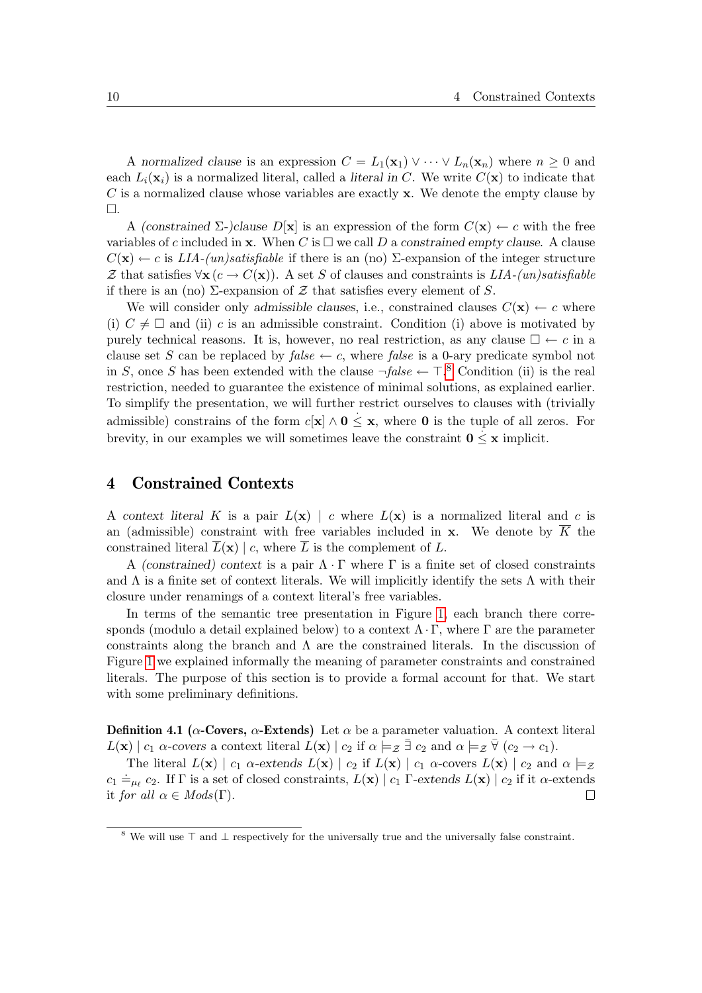A normalized clause is an expression  $C = L_1(\mathbf{x}_1) \vee \cdots \vee L_n(\mathbf{x}_n)$  where  $n \geq 0$  and each  $L_i(\mathbf{x}_i)$  is a normalized literal, called a literal in C. We write  $C(\mathbf{x})$  to indicate that  $C$  is a normalized clause whose variables are exactly **x**. We denote the empty clause by  $\square.$ 

A (constrained  $\Sigma$ -)clause  $D[\mathbf{x}]$  is an expression of the form  $C(\mathbf{x}) \leftarrow c$  with the free variables of c included in **x**. When C is  $\Box$  we call D a constrained empty clause. A clause  $C(\mathbf{x}) \leftarrow c$  is  $LIA$ -(un)satisfiable if there is an (no)  $\Sigma$ -expansion of the integer structure Z that satisfies  $\forall$ **x** (c → C(**x**)). A set S of clauses and constraints is LIA-(un)satisfiable if there is an (no)  $\Sigma$ -expansion of  $\mathcal Z$  that satisfies every element of  $S$ .

We will consider only admissible clauses, i.e., constrained clauses  $C(\mathbf{x}) \leftarrow c$  where (i)  $C \neq \Box$  and (ii) c is an admissible constraint. Condition (i) above is motivated by purely technical reasons. It is, however, no real restriction, as any clause  $\Box \leftarrow c$  in a clause set S can be replaced by false  $\leftarrow c$ , where false is a 0-ary predicate symbol not in S, once S has been extended with the clause  $\neg false \leftarrow \top$ .<sup>[8](#page-9-0)</sup> Condition (ii) is the real restriction, needed to guarantee the existence of minimal solutions, as explained earlier. To simplify the presentation, we will further restrict ourselves to clauses with (trivially admissible) constrains of the form  $c[x] \wedge 0 \leq x$ , where 0 is the tuple of all zeros. For brevity, in our examples we will sometimes leave the constraint  $0 \leq x$  implicit.

## <span id="page-9-1"></span>4 Constrained Contexts

A context literal K is a pair  $L(\mathbf{x}) \mid c$  where  $L(\mathbf{x})$  is a normalized literal and c is an (admissible) constraint with free variables included in **x**. We denote by  $\overline{K}$  the constrained literal  $\overline{L}(\mathbf{x}) \mid c$ , where  $\overline{L}$  is the complement of L.

A (constrained) context is a pair  $\Lambda \cdot \Gamma$  where  $\Gamma$  is a finite set of closed constraints and  $\Lambda$  is a finite set of context literals. We will implicitly identify the sets  $\Lambda$  with their closure under renamings of a context literal's free variables.

In terms of the semantic tree presentation in Figure [1,](#page-4-0) each branch there corresponds (modulo a detail explained below) to a context  $\Lambda \cdot \Gamma$ , where  $\Gamma$  are the parameter constraints along the branch and  $\Lambda$  are the constrained literals. In the discussion of Figure [1](#page-4-0) we explained informally the meaning of parameter constraints and constrained literals. The purpose of this section is to provide a formal account for that. We start with some preliminary definitions.

<span id="page-9-2"></span>Definition 4.1 ( $\alpha$ -Covers,  $\alpha$ -Extends) Let  $\alpha$  be a parameter valuation. A context literal  $L(\mathbf{x}) \mid c_1 \text{ }\alpha\text{- covers a context literal } L(\mathbf{x}) \mid c_2 \text{ if } \alpha \models_{\mathcal{Z}} \overline{\exists} c_2 \text{ and } \alpha \models_{\mathcal{Z}} \overline{\forall} (c_2 \rightarrow c_1).$ 

The literal  $L(\mathbf{x}) \mid c_1$   $\alpha$ -extends  $L(\mathbf{x}) \mid c_2$  if  $L(\mathbf{x}) \mid c_1$   $\alpha$ -covers  $L(\mathbf{x}) \mid c_2$  and  $\alpha \models z$  $c_1 \doteq_{\mu_\ell} c_2$ . If  $\Gamma$  is a set of closed constraints,  $L(\mathbf{x}) \mid c_1$   $\Gamma$ -extends  $L(\mathbf{x}) \mid c_2$  if it  $\alpha$ -extends it for all  $\alpha \in Mod(s(\Gamma)).$  $\Box$ 

<span id="page-9-0"></span><sup>&</sup>lt;sup>8</sup> We will use  $\top$  and  $\bot$  respectively for the universally true and the universally false constraint.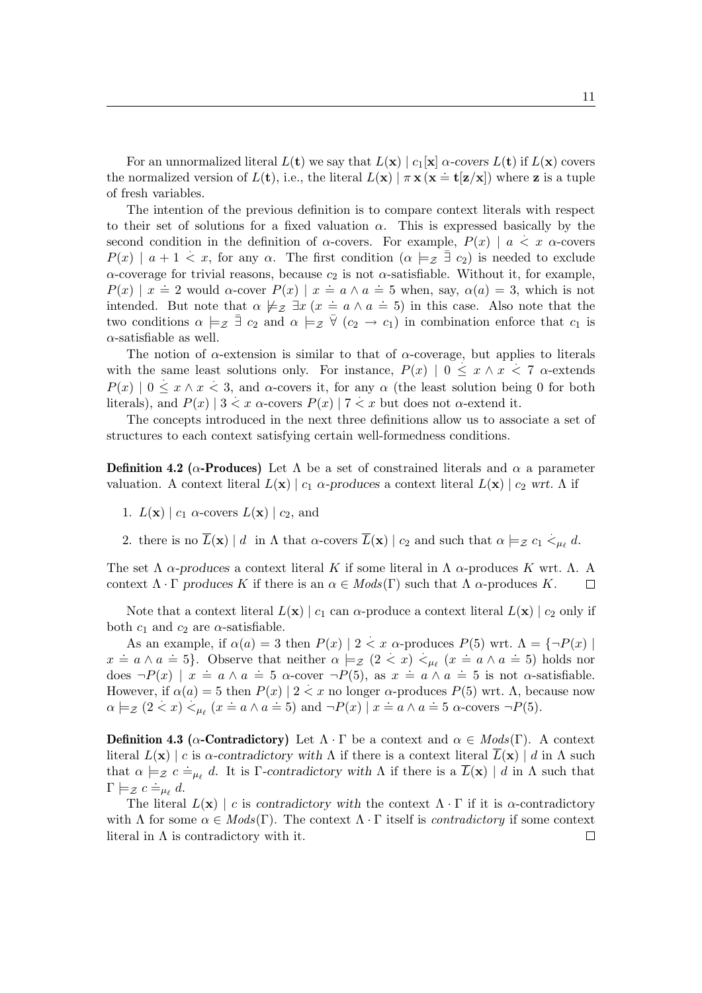For an unnormalized literal  $L(\mathbf{t})$  we say that  $L(\mathbf{x}) \mid c_1[\mathbf{x}]$   $\alpha$ -covers  $L(\mathbf{t})$  if  $L(\mathbf{x})$  covers the normalized version of  $L(\mathbf{t})$ , i.e., the literal  $L(\mathbf{x}) \mid \pi \mathbf{x} (\mathbf{x} = \mathbf{t} | \mathbf{z} / \mathbf{x})$  where z is a tuple of fresh variables.

The intention of the previous definition is to compare context literals with respect to their set of solutions for a fixed valuation  $\alpha$ . This is expressed basically by the second condition in the definition of  $\alpha$ -covers. For example,  $P(x) \mid a \leq x \alpha$ -covers  $P(x) \mid a + 1 \leq x$ , for any  $\alpha$ . The first condition  $(\alpha \models z \exists c_2)$  is needed to exclude  $\alpha$ -coverage for trivial reasons, because  $c_2$  is not  $\alpha$ -satisfiable. Without it, for example,  $P(x) \mid x \doteq 2$  would  $\alpha$ -cover  $P(x) \mid x \doteq a \land a \doteq 5$  when, say,  $\alpha(a) = 3$ , which is not intended. But note that  $\alpha \not\models z \exists x \ (x = a \land a = 5)$  in this case. Also note that the two conditions  $\alpha \models_{\mathcal{Z}} \bar{\exists} c_2$  and  $\alpha \models_{\mathcal{Z}} \bar{\forall} (c_2 \rightarrow c_1)$  in combination enforce that  $c_1$  is  $\alpha$ -satisfiable as well.

The notion of  $\alpha$ -extension is similar to that of  $\alpha$ -coverage, but applies to literals with the same least solutions only. For instance,  $P(x) | 0 \le x \land x < 7$   $\alpha$ -extends  $P(x) \mid 0 \leq x \wedge x < 3$ , and  $\alpha$ -covers it, for any  $\alpha$  (the least solution being 0 for both literals), and  $P(x)$  |  $3 < x$   $\alpha$ -covers  $P(x)$  |  $7 < x$  but does not  $\alpha$ -extend it.

The concepts introduced in the next three definitions allow us to associate a set of structures to each context satisfying certain well-formedness conditions.

<span id="page-10-0"></span>**Definition 4.2** ( $\alpha$ -**Produces**) Let  $\Lambda$  be a set of constrained literals and  $\alpha$  a parameter valuation. A context literal  $L(\mathbf{x}) | c_1 \alpha$ -produces a context literal  $L(\mathbf{x}) | c_2$  wrt. A if

- 1.  $L(\mathbf{x}) \mid c_1$   $\alpha$ -covers  $L(\mathbf{x}) \mid c_2$ , and
- 2. there is no  $\overline{L}(\mathbf{x}) \mid d$  in  $\Lambda$  that  $\alpha$ -covers  $\overline{L}(\mathbf{x}) \mid c_2$  and such that  $\alpha \models_{\mathcal{Z}} c_1 \prec_{\mu_\ell} d$ .

The set  $\Lambda$  α-produces a context literal K if some literal in  $\Lambda$  α-produces K wrt.  $\Lambda$ . A context  $\Lambda \cdot \Gamma$  produces K if there is an  $\alpha \in Mod(s(\Gamma))$  such that  $\Lambda$   $\alpha$ -produces K.  $\Box$ 

Note that a context literal  $L(\mathbf{x}) \mid c_1$  can  $\alpha$ -produce a context literal  $L(\mathbf{x}) \mid c_2$  only if both  $c_1$  and  $c_2$  are  $\alpha$ -satisfiable.

As an example, if  $\alpha(a) = 3$  then  $P(x) | 2 < x$   $\alpha$ -produces  $P(5)$  wrt.  $\Lambda = \{\neg P(x) |$ x = a  $\wedge$  a = 5}. Observe that neither  $\alpha \models z$  (2 < x) <  $\mu_{\ell}$  (x = a  $\wedge$  a = 5) holds nor  $d\cos \neg P(x) \mid x = a \land a = 5 \text{ }\alpha\text{-cover }\neg P(5), \text{ as } x = a \land a = 5 \text{ is not } \alpha\text{-satisfiable.}$ However, if  $\alpha(a) = 5$  then  $P(x) | 2 < x$  no longer  $\alpha$ -produces  $P(5)$  wrt.  $\Lambda$ , because now  $\alpha \models_{\mathcal{Z}} (2 < x) <_{\mu_{\ell}} (x = a \land a = 5)$  and  $\neg P(x) \mid x = a \land a = 5$   $\alpha$ -covers  $\neg P(5)$ .

**Definition 4.3** ( $\alpha$ -Contradictory) Let  $\Lambda \cdot \Gamma$  be a context and  $\alpha \in Mod(\Gamma)$ . A context literal  $L(\mathbf{x}) \mid c$  is  $\alpha$ -contradictory with  $\Lambda$  if there is a context literal  $\overline{L}(\mathbf{x}) \mid d$  in  $\Lambda$  such that  $\alpha \models z \ c \models_{\mu_{\ell}} d$ . It is Γ-contradictory with  $\Lambda$  if there is a  $\overline{L}(\mathbf{x}) \mid d$  in  $\Lambda$  such that  $\Gamma \models z \ c \doteq_{\mu_{\ell}} d.$ 

The literal  $L(\mathbf{x}) \mid c$  is contradictory with the context  $\Lambda \cdot \Gamma$  if it is  $\alpha$ -contradictory with  $\Lambda$  for some  $\alpha \in Mod(s(\Gamma))$ . The context  $\Lambda \cdot \Gamma$  itself is *contradictory* if some context literal in  $\Lambda$  is contradictory with it.  $\Box$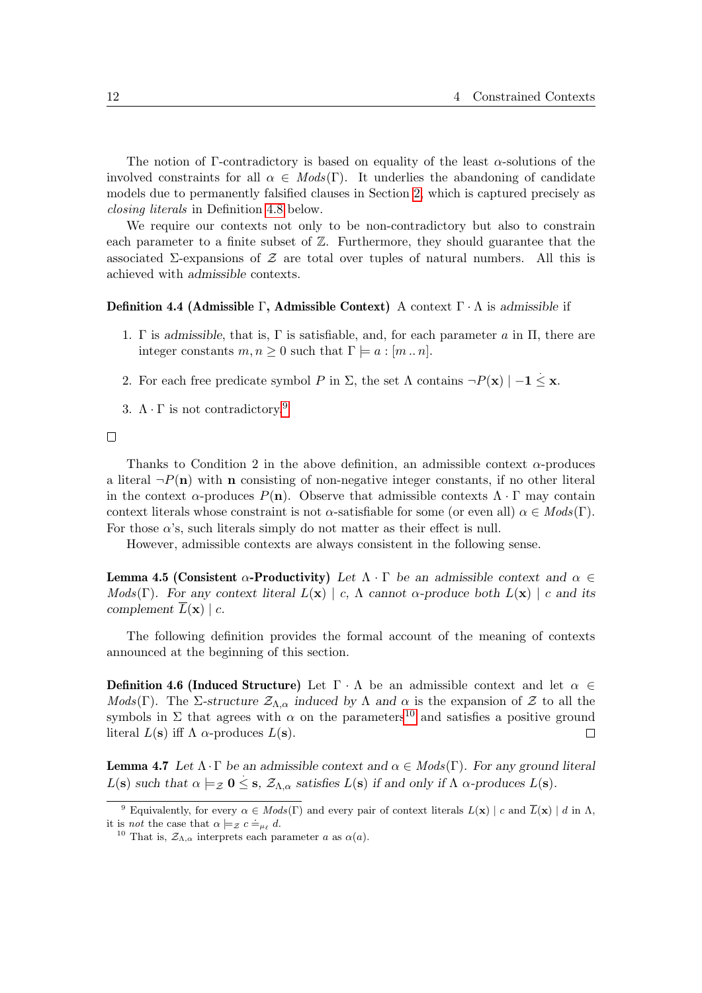The notion of Γ-contradictory is based on equality of the least  $\alpha$ -solutions of the involved constraints for all  $\alpha \in Mod(s(\Gamma))$ . It underlies the abandoning of candidate models due to permanently falsified clauses in Section [2,](#page-3-0) which is captured precisely as closing literals in Definition [4.8](#page-12-0) below.

We require our contexts not only to be non-contradictory but also to constrain each parameter to a finite subset of  $\mathbb{Z}$ . Furthermore, they should guarantee that the associated  $\Sigma$ -expansions of Z are total over tuples of natural numbers. All this is achieved with admissible contexts.

#### Definition 4.4 (Admissible Γ, Admissible Context) A context  $\Gamma \cdot \Lambda$  is admissible if

- 1. Γ is admissible, that is, Γ is satisfiable, and, for each parameter  $a$  in  $\Pi$ , there are integer constants  $m, n \geq 0$  such that  $\Gamma \models a : [m \dots n]$ .
- 2. For each free predicate symbol P in  $\Sigma$ , the set  $\Lambda$  contains  $\neg P(\mathbf{x}) \mid -\mathbf{1} \leq \mathbf{x}$ .
- 3.  $\Lambda \cdot \Gamma$  is not contradictory.<sup>[9](#page-11-0)</sup>

#### $\Box$

Thanks to Condition 2 in the above definition, an admissible context  $\alpha$ -produces a literal  $\neg P(n)$  with n consisting of non-negative integer constants, if no other literal in the context  $\alpha$ -produces  $P(n)$ . Observe that admissible contexts  $\Lambda \cdot \Gamma$  may contain context literals whose constraint is not  $\alpha$ -satisfiable for some (or even all)  $\alpha \in Mod(s(\Gamma))$ . For those  $\alpha$ 's, such literals simply do not matter as their effect is null.

<span id="page-11-2"></span>However, admissible contexts are always consistent in the following sense.

Lemma 4.5 (Consistent  $\alpha$ -Productivity) Let  $\Lambda \cdot \Gamma$  be an admissible context and  $\alpha \in$ Mods(Γ). For any context literal  $L(\mathbf{x}) \mid c$ ,  $\Lambda$  cannot  $\alpha$ -produce both  $L(\mathbf{x}) \mid c$  and its complement  $L(\mathbf{x}) \mid c$ .

<span id="page-11-3"></span>The following definition provides the formal account of the meaning of contexts announced at the beginning of this section.

Definition 4.6 (Induced Structure) Let  $\Gamma \cdot \Lambda$  be an admissible context and let  $\alpha \in$ Mods(Γ). The Σ-structure  $\mathcal{Z}_{\Lambda,\alpha}$  induced by  $\Lambda$  and  $\alpha$  is the expansion of  $\mathcal Z$  to all the symbols in  $\Sigma$  that agrees with  $\alpha$  on the parameters<sup>[10](#page-11-1)</sup> and satisfies a positive ground literal  $L(\mathbf{s})$  iff  $\Lambda$   $\alpha$ -produces  $L(\mathbf{s})$ .  $\Box$ 

<span id="page-11-4"></span>**Lemma 4.7** Let  $\Lambda \cdot \Gamma$  be an admissible context and  $\alpha \in Mod(S(\Gamma))$ . For any ground literal L(s) such that  $\alpha \models z$  **0**  $\leq$  s,  $\mathcal{Z}_{\Lambda,\alpha}$  satisfies L(s) if and only if  $\Lambda$   $\alpha$ -produces L(s).

<span id="page-11-0"></span><sup>&</sup>lt;sup>9</sup> Equivalently, for every  $\alpha \in Mod(s(\Gamma))$  and every pair of context literals  $L(\mathbf{x}) \mid c$  and  $\overline{L}(\mathbf{x}) \mid d$  in  $\Lambda$ , it is *not* the case that  $\alpha \models z \ c \models_{\mu_\ell} d$ .

<span id="page-11-1"></span><sup>&</sup>lt;sup>10</sup> That is,  $\mathcal{Z}_{\Lambda,\alpha}$  interprets each parameter a as  $\alpha(a)$ .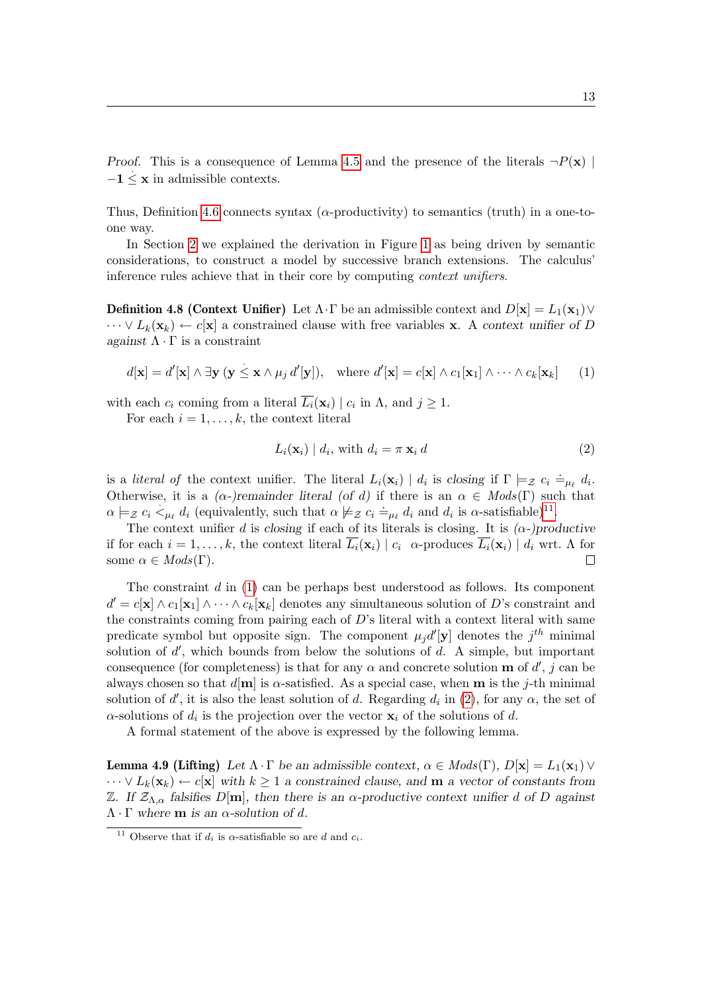*Proof.* This is a consequence of Lemma [4.5](#page-11-2) and the presence of the literals  $\neg P(\mathbf{x})$  $-1 \leq x$  in admissible contexts.

Thus, Definition [4.6](#page-11-3) connects syntax ( $\alpha$ -productivity) to semantics (truth) in a one-toone way.

In Section [2](#page-3-0) we explained the derivation in Figure [1](#page-4-0) as being driven by semantic considerations, to construct a model by successive branch extensions. The calculus' inference rules achieve that in their core by computing context unifiers.

<span id="page-12-0"></span>**Definition 4.8 (Context Unifier)** Let  $\Lambda \cdot \Gamma$  be an admissible context and  $D[\mathbf{x}] = L_1(\mathbf{x}_1) \vee$  $\cdots \vee L_k(\mathbf{x}_k) \leftarrow c[\mathbf{x}]$  a constrained clause with free variables **x**. A context unifier of D against  $\Lambda \cdot \Gamma$  is a constraint

$$
d[\mathbf{x}] = d'[\mathbf{x}] \wedge \exists \mathbf{y} \ (\mathbf{y} \leq \mathbf{x} \wedge \mu_j \ d'[\mathbf{y}]), \quad \text{where } d'[\mathbf{x}] = c[\mathbf{x}] \wedge c_1[\mathbf{x}_1] \wedge \cdots \wedge c_k[\mathbf{x}_k] \tag{1}
$$

with each  $c_i$  coming from a literal  $L_i(\mathbf{x}_i) | c_i$  in  $\Lambda$ , and  $j \geq 1$ .

For each  $i = 1, \ldots, k$ , the context literal

<span id="page-12-4"></span><span id="page-12-3"></span><span id="page-12-2"></span>
$$
L_i(\mathbf{x}_i) | d_i, \text{ with } d_i = \pi \mathbf{x}_i d \tag{2}
$$

is a *literal of* the context unifier. The literal  $L_i(\mathbf{x}_i) | d_i$  is closing if  $\Gamma \models_{\mathcal{Z}} c_i \doteq_{\mu_\ell} d_i$ . Otherwise, it is a  $(\alpha$ -)remainder literal  $(\alpha d)$  if there is an  $\alpha \in Mod(S(\Gamma))$  such that  $\alpha \models z$   $c_i <_{\mu_\ell} d_i$  (equivalently, such that  $\alpha \not\models z$   $c_i \doteq_{\mu_\ell} d_i$  and  $d_i$  is α-satisfiable)<sup>[11](#page-12-1)</sup>.

The context unifier d is closing if each of its literals is closing. It is  $(\alpha-)productive$ if for each  $i = 1, \ldots, k$ , the context literal  $\overline{L_i}(\mathbf{x}_i) \mid c_i$   $\alpha$ -produces  $\overline{L_i}(\mathbf{x}_i) \mid d_i$  wrt. A for some  $\alpha \in Mods(\Gamma)$ .  $\Box$ 

The constraint  $d$  in  $(1)$  can be perhaps best understood as follows. Its component  $d' = c[\mathbf{x}] \wedge c_1[\mathbf{x}_1] \wedge \cdots \wedge c_k[\mathbf{x}_k]$  denotes any simultaneous solution of D's constraint and the constraints coming from pairing each of  $D$ 's literal with a context literal with same predicate symbol but opposite sign. The component  $\mu_j d'[\mathbf{y}]$  denotes the  $j^{th}$  minimal solution of  $d'$ , which bounds from below the solutions of  $d$ . A simple, but important consequence (for completeness) is that for any  $\alpha$  and concrete solution **m** of d', j can be always chosen so that  $d[\mathbf{m}]$  is  $\alpha$ -satisfied. As a special case, when **m** is the j-th minimal solution of d', it is also the least solution of d. Regarding  $d_i$  in [\(2\)](#page-12-3), for any  $\alpha$ , the set of  $\alpha$ -solutions of  $d_i$  is the projection over the vector  $\mathbf{x}_i$  of the solutions of d.

A formal statement of the above is expressed by the following lemma.

**Lemma 4.9 (Lifting)** Let  $\Lambda \cdot \Gamma$  be an admissible context,  $\alpha \in Mod(s(\Gamma), D[\mathbf{x}] = L_1(\mathbf{x}_1) \vee$  $\cdots \vee L_k(\mathbf{x}_k) \leftarrow c[\mathbf{x}]$  with  $k \geq 1$  a constrained clause, and **m** a vector of constants from Z. If  $\mathcal{Z}_{\Lambda,\alpha}$  falsifies D[m], then there is an α-productive context unifier d of D against  $\Lambda \cdot \Gamma$  where **m** is an  $\alpha$ -solution of d.

<span id="page-12-1"></span><sup>&</sup>lt;sup>11</sup> Observe that if  $d_i$  is  $\alpha$ -satisfiable so are d and  $c_i$ .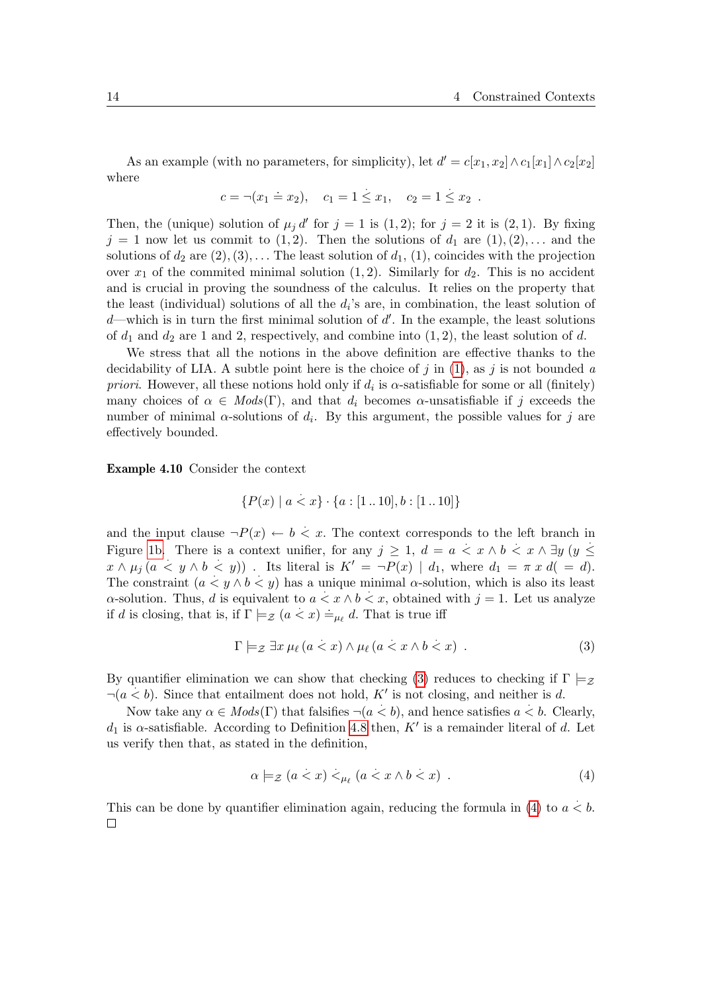As an example (with no parameters, for simplicity), let  $d' = c[x_1, x_2] \wedge c_1[x_1] \wedge c_2[x_2]$ where . .

$$
c = \neg(x_1 = x_2),
$$
  $c_1 = 1 \le x_1,$   $c_2 = 1 \le x_2$ .

Then, the (unique) solution of  $\mu_j d'$  for  $j = 1$  is (1,2); for  $j = 2$  it is (2,1). By fixing  $j = 1$  now let us commit to  $(1, 2)$ . Then the solutions of  $d_1$  are  $(1), (2), \ldots$  and the solutions of  $d_2$  are  $(2), (3), \ldots$  The least solution of  $d_1, (1),$  coincides with the projection over  $x_1$  of the commited minimal solution  $(1, 2)$ . Similarly for  $d_2$ . This is no accident and is crucial in proving the soundness of the calculus. It relies on the property that the least (individual) solutions of all the  $d_i$ 's are, in combination, the least solution of  $d$ —which is in turn the first minimal solution of  $d'$ . In the example, the least solutions of  $d_1$  and  $d_2$  are 1 and 2, respectively, and combine into  $(1, 2)$ , the least solution of d.

We stress that all the notions in the above definition are effective thanks to the decidability of LIA. A subtle point here is the choice of j in  $(1)$ , as j is not bounded a priori. However, all these notions hold only if  $d_i$  is  $\alpha$ -satisfiable for some or all (finitely) many choices of  $\alpha \in Mod(s(\Gamma))$ , and that  $d_i$  becomes  $\alpha$ -unsatisfiable if j exceeds the number of minimal  $\alpha$ -solutions of  $d_i$ . By this argument, the possible values for j are effectively bounded.

Example 4.10 Consider the context

$$
\{P(x) \mid a < x\} \cdot \{a : [1 \dots 10], b : [1 \dots 10]\}
$$

and the input clause  $\neg P(x) \leftarrow b \leq x$ . The context corresponds to the left branch in Figure [1b.](#page-4-2) There is a context unifier, for any  $j \geq 1$ ,  $d = a < x \wedge b < x \wedge \exists y$  ( $y \leq$  $x \wedge \mu_j$   $(a < y \wedge b < y)$ . Its literal is  $K' = \neg P(x) \mid d_1$ , where  $d_1 = \pi x d (= d)$ . The constraint  $(a < y \land b < y)$  has a unique minimal  $\alpha$ -solution, which is also its least  $\alpha$ -solution. Thus, d is equivalent to  $a < x \wedge b < x$ , obtained with  $j = 1$ . Let us analyze if d is closing, that is, if  $\Gamma \models_{\mathcal{Z}} (a < x) \models_{\mu_{\ell}} d$ . That is true iff

<span id="page-13-0"></span>
$$
\Gamma \models_{\mathcal{Z}} \exists x \,\mu_{\ell} \,(a < x) \land \mu_{\ell} \,(a < x \land b < x) \tag{3}
$$

By quantifier elimination we can show that checking [\(3\)](#page-13-0) reduces to checking if  $\Gamma \models z$  $\neg(a < b)$ . Since that entailment does not hold, K' is not closing, and neither is d.

Now take any  $\alpha \in Mods(\Gamma)$  that falsifies  $\neg (a < b)$ , and hence satisfies  $a < b$ . Clearly,  $d_1$  is  $\alpha$ -satisfiable. According to Definition [4.8](#page-12-0) then, K' is a remainder literal of d. Let us verify then that, as stated in the definition,

<span id="page-13-1"></span>
$$
\alpha \models_{\mathcal{Z}} (a < x) <_{\mu_{\ell}} (a < x \land b < x) \tag{4}
$$

This can be done by quantifier elimination again, reducing the formula in [\(4\)](#page-13-1) to  $a < b$ .  $\Box$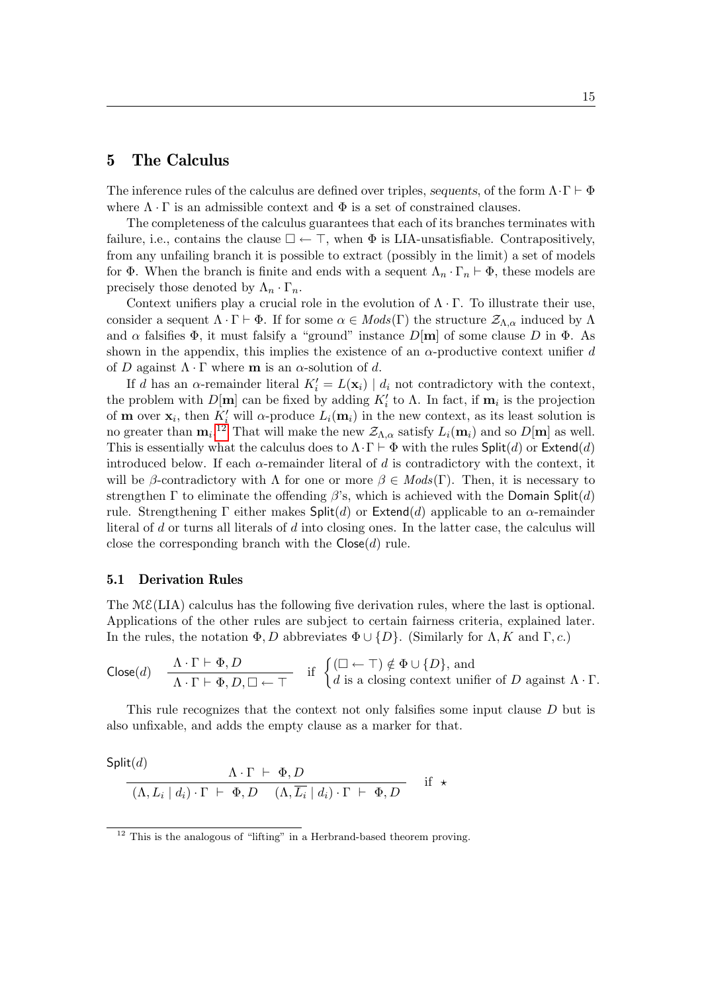### 5 The Calculus

The inference rules of the calculus are defined over triples, sequents, of the form  $\Lambda \cdot \Gamma \vdash \Phi$ where  $\Lambda \cdot \Gamma$  is an admissible context and  $\Phi$  is a set of constrained clauses.

The completeness of the calculus guarantees that each of its branches terminates with failure, i.e., contains the clause  $\square \leftarrow \top$ , when  $\Phi$  is LIA-unsatisfiable. Contrapositively, from any unfailing branch it is possible to extract (possibly in the limit) a set of models for  $\Phi$ . When the branch is finite and ends with a sequent  $\Lambda_n \cdot \Gamma_n \vdash \Phi$ , these models are precisely those denoted by  $\Lambda_n \cdot \Gamma_n$ .

Context unifiers play a crucial role in the evolution of  $\Lambda \cdot \Gamma$ . To illustrate their use, consider a sequent  $\Lambda \cdot \Gamma \vdash \Phi$ . If for some  $\alpha \in Mod(s(\Gamma))$  the structure  $\mathcal{Z}_{\Lambda,\alpha}$  induced by  $\Lambda$ and  $\alpha$  falsifies  $\Phi$ , it must falsify a "ground" instance  $D[m]$  of some clause D in  $\Phi$ . As shown in the appendix, this implies the existence of an  $\alpha$ -productive context unifier d of D against  $\Lambda \cdot \Gamma$  where **m** is an  $\alpha$ -solution of d.

If d has an  $\alpha$ -remainder literal  $K_i' = L(\mathbf{x}_i) | d_i$  not contradictory with the context, the problem with  $D[\mathbf{m}]$  can be fixed by adding  $K'_{i}$  to  $\Lambda$ . In fact, if  $\mathbf{m}_{i}$  is the projection of **m** over  $\mathbf{x}_i$ , then  $K'_i$  will  $\alpha$ -produce  $L_i(\mathbf{m}_i)$  in the new context, as its least solution is no greater than  $\mathbf{m}_i$ .<sup>[12](#page-14-0)</sup> That will make the new  $\mathcal{Z}_{\Lambda,\alpha}$  satisfy  $L_i(\mathbf{m}_i)$  and so  $D[\mathbf{m}]$  as well. This is essentially what the calculus does to  $\Lambda \cdot \Gamma \vdash \Phi$  with the rules Split(d) or Extend(d) introduced below. If each  $\alpha$ -remainder literal of d is contradictory with the context, it will be β-contradictory with  $\Lambda$  for one or more  $\beta \in Mod(s(\Gamma))$ . Then, it is necessary to strengthen Γ to eliminate the offending  $\beta$ 's, which is achieved with the Domain Split(d) rule. Strengthening Γ either makes  $\text{Split}(d)$  or Extend(d) applicable to an  $\alpha$ -remainder literal of d or turns all literals of d into closing ones. In the latter case, the calculus will close the corresponding branch with the  $C\text{lose}(d)$  rule.

#### 5.1 Derivation Rules

The  $M\mathcal{E}(LIA)$  calculus has the following five derivation rules, where the last is optional. Applications of the other rules are subject to certain fairness criteria, explained later. In the rules, the notation  $\Phi, D$  abbreviates  $\Phi \cup \{D\}$ . (Similarly for  $\Lambda, K$  and  $\Gamma, c$ .)

$$
\mathsf{Close}(d) \quad \frac{\Lambda \cdot \Gamma \vdash \Phi, D}{\Lambda \cdot \Gamma \vdash \Phi, D, \Box \leftarrow \top} \quad \text{if} \ \begin{cases} (\Box \leftarrow \top) \notin \Phi \cup \{D\}, \text{ and} \\ d \text{ is a closing context unifier of } D \text{ against } \Lambda \cdot \Gamma. \end{cases}
$$

This rule recognizes that the context not only falsifies some input clause D but is also unfixable, and adds the empty clause as a marker for that.

Split(d)  
\n
$$
\frac{\Lambda \cdot \Gamma \ \vdash \ \Phi, D}{(\Lambda, L_i \mid d_i) \cdot \Gamma \ \vdash \ \Phi, D \quad (\Lambda, \overline{L_i} \mid d_i) \cdot \Gamma \ \vdash \ \Phi, D} \quad \text{if} \ \star
$$

<span id="page-14-0"></span><sup>&</sup>lt;sup>12</sup> This is the analogous of "lifting" in a Herbrand-based theorem proving.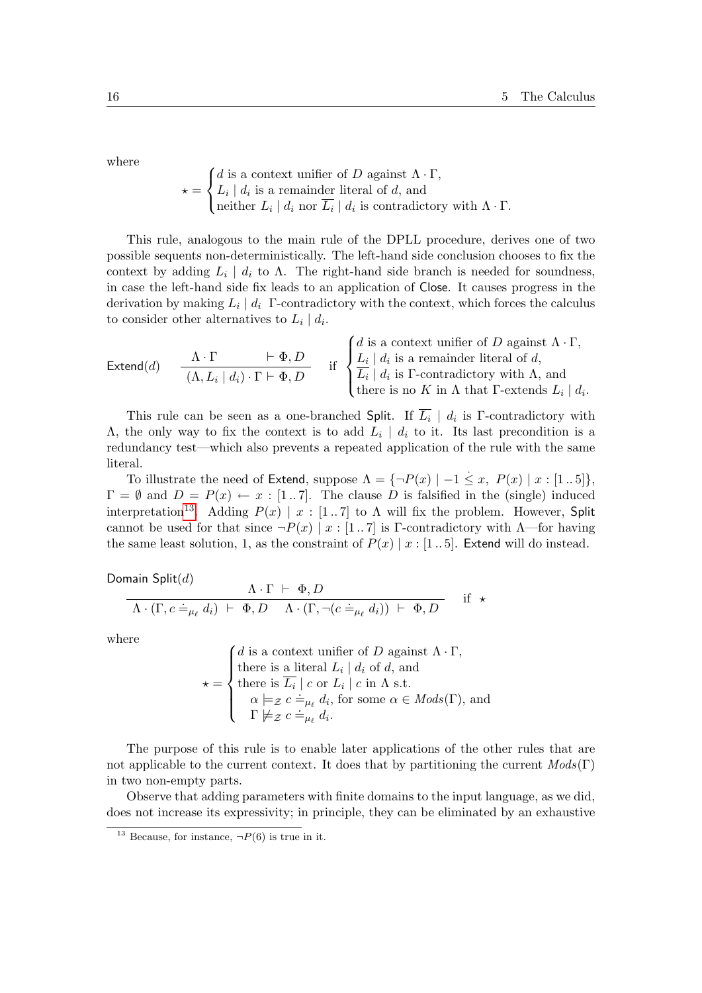where

$$
\star = \begin{cases} d \text{ is a context unifier of } D \text{ against } \Lambda \cdot \Gamma, \\ L_i \mid d_i \text{ is a remainder literal of } d, \text{ and} \\ \text{neither } L_i \mid d_i \text{ nor } \overline{L_i} \mid d_i \text{ is contradictory with } \Lambda \cdot \Gamma. \end{cases}
$$

This rule, analogous to the main rule of the DPLL procedure, derives one of two possible sequents non-deterministically. The left-hand side conclusion chooses to fix the context by adding  $L_i \mid d_i$  to  $\Lambda$ . The right-hand side branch is needed for soundness, in case the left-hand side fix leads to an application of Close. It causes progress in the derivation by making  $L_i | d_i$  F-contradictory with the context, which forces the calculus to consider other alternatives to  $L_i | d_i$ .

$$
\text{Extend}(d) \quad \frac{\Lambda \cdot \Gamma}{(\Lambda, L_i \mid d_i) \cdot \Gamma \vdash \Phi, D} \quad \text{if} \quad \begin{cases} d \text{ is a context unifier of } D \text{ against } \Lambda \cdot \Gamma, \\ L_i \mid d_i \text{ is a remainder literal of } d, \\ \overline{L_i} \mid d_i \text{ is } \Gamma \text{-contradictory with } \Lambda, \text{ and} \\ \text{there is no } K \text{ in } \Lambda \text{ that } \Gamma \text{-extends } L_i \mid d_i. \end{cases}
$$

This rule can be seen as a one-branched Split. If  $\overline{L_i}$  |  $d_i$  is  $\Gamma$ -contradictory with  $Λ$ , the only way to fix the context is to add  $L_i | d_i$  to it. Its last precondition is a redundancy test—which also prevents a repeated application of the rule with the same literal.

To illustrate the need of Extend, suppose  $\Lambda = \{\neg P(x) \mid -1 \leq x, P(x) \mid x : [1..5]\},\$  $\Gamma = \emptyset$  and  $D = P(x) \leftarrow x : [1..7]$ . The clause D is falsified in the (single) induced interpretation<sup>[13](#page-15-0)</sup>. Adding  $P(x) | x : [1, 7]$  to  $\Lambda$  will fix the problem. However, Split cannot be used for that since  $\neg P(x) | x : [1..7]$  is Γ-contradictory with  $\Lambda$ —for having the same least solution, 1, as the constraint of  $P(x) | x : [1..5]$ . Extend will do instead.

Domain Split $(d)$ 

$$
\frac{\Lambda \cdot \Gamma \ \vdash \ \Phi, D}{\Lambda \cdot (\Gamma, c \doteq_{\mu_{\ell}} d_i) \ \vdash \ \Phi, D \quad \Lambda \cdot (\Gamma, \neg (c \doteq_{\mu_{\ell}} d_i)) \ \vdash \ \Phi, D} \quad \text{if} \ \star
$$

where

 $\star =$  $\sqrt{ }$  $\int$  $\overline{\mathcal{L}}$ d is a context unifier of D against  $\Lambda \cdot \Gamma$ , there is a literal  $L_i | d_i$  of d, and there is  $L_i \mid c$  or  $L_i \mid c$  in  $\Lambda$  s.t.  $\alpha \models_{\mathcal{Z}} c \doteq_{\mu_{\ell}} d_i$ , for some  $\alpha \in Mod(s(\Gamma))$ , and  $\Gamma \not\models z \ c \doteq_{\mu_{\ell}} a_i,$ <br> $\Gamma \not\models z \ c \doteq_{\mu_{\ell}} d_i.$ 

The purpose of this rule is to enable later applications of the other rules that are not applicable to the current context. It does that by partitioning the current  $Mods(\Gamma)$ in two non-empty parts.

Observe that adding parameters with finite domains to the input language, as we did, does not increase its expressivity; in principle, they can be eliminated by an exhaustive

<span id="page-15-0"></span><sup>&</sup>lt;sup>13</sup> Because, for instance,  $\neg P(6)$  is true in it.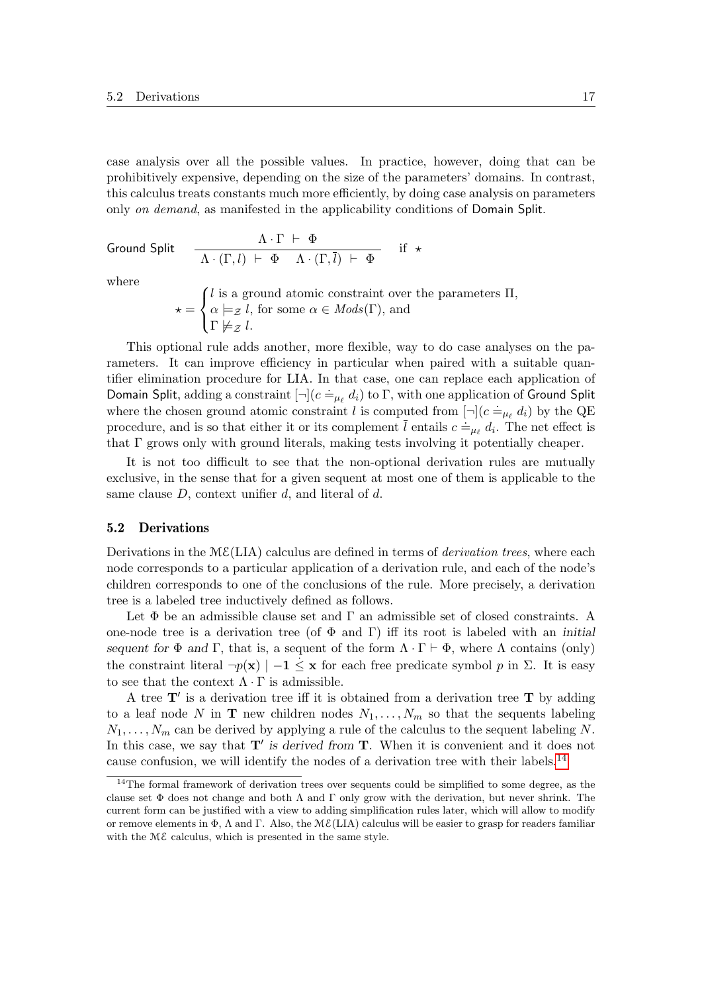case analysis over all the possible values. In practice, however, doing that can be prohibitively expensive, depending on the size of the parameters' domains. In contrast, this calculus treats constants much more efficiently, by doing case analysis on parameters only on demand, as manifested in the applicability conditions of Domain Split.

Ground Split

$$
\frac{\Lambda \cdot \Gamma \ \vdash \ \Phi}{\Lambda \cdot (\Gamma, l) \ \vdash \ \Phi \quad \Lambda \cdot (\Gamma, \overline{l}) \ \vdash \ \Phi} \quad \text{if} \ \star
$$

where

 $\star =$  $\sqrt{ }$  $\left| \right|$  $\mathcal{L}$ l is a ground atomic constraint over the parameters  $\Pi$ ,  $\alpha \models_{\mathcal{Z}} l$ , for some  $\alpha \in Mods(\Gamma)$ , and  $\Gamma\not\models_{\mathcal{Z}} l.$ 

This optional rule adds another, more flexible, way to do case analyses on the parameters. It can improve efficiency in particular when paired with a suitable quantifier elimination procedure for LIA. In that case, one can replace each application of Domain Split, adding a constraint  $[\neg](c =_{\mu_\ell} d_i)$  to Γ, with one application of Ground Split where the chosen ground atomic constraint l is computed from  $[\neg](c \doteq_{\mu_{\ell}} d_i)$  by the QE procedure, and is so that either it or its complement  $\overline{l}$  entails  $c = \mu_{\ell} d_{i}$ . The net effect is that Γ grows only with ground literals, making tests involving it potentially cheaper.

It is not too difficult to see that the non-optional derivation rules are mutually exclusive, in the sense that for a given sequent at most one of them is applicable to the same clause  $D$ , context unifier  $d$ , and literal of  $d$ .

#### 5.2 Derivations

Derivations in the  $M\mathcal{E}(LIA)$  calculus are defined in terms of *derivation trees*, where each node corresponds to a particular application of a derivation rule, and each of the node's children corresponds to one of the conclusions of the rule. More precisely, a derivation tree is a labeled tree inductively defined as follows.

Let  $\Phi$  be an admissible clause set and  $\Gamma$  an admissible set of closed constraints. A one-node tree is a derivation tree (of  $\Phi$  and Γ) iff its root is labeled with an *initial* sequent for  $\Phi$  and  $\Gamma$ , that is, a sequent of the form  $\Lambda \cdot \Gamma \vdash \Phi$ , where  $\Lambda$  contains (only) the constraint literal  $\neg p(\mathbf{x}) \mid -1 \leq \mathbf{x}$  for each free predicate symbol p in  $\Sigma$ . It is easy to see that the context  $\Lambda \cdot \Gamma$  is admissible.

A tree  $T'$  is a derivation tree iff it is obtained from a derivation tree  $T$  by adding to a leaf node N in **T** new children nodes  $N_1, \ldots, N_m$  so that the sequents labeling  $N_1, \ldots, N_m$  can be derived by applying a rule of the calculus to the sequent labeling N. In this case, we say that  $T'$  is derived from  $T$ . When it is convenient and it does not cause confusion, we will identify the nodes of a derivation tree with their labels.[14](#page-16-0)

<span id="page-16-0"></span><sup>&</sup>lt;sup>14</sup>The formal framework of derivation trees over sequents could be simplified to some degree, as the clause set  $\Phi$  does not change and both  $\Lambda$  and  $\Gamma$  only grow with the derivation, but never shrink. The current form can be justified with a view to adding simplification rules later, which will allow to modify or remove elements in  $\Phi$ ,  $\Lambda$  and  $\Gamma$ . Also, the M $\mathcal{E}$ (LIA) calculus will be easier to grasp for readers familiar with the  $M\mathcal{E}$  calculus, which is presented in the same style.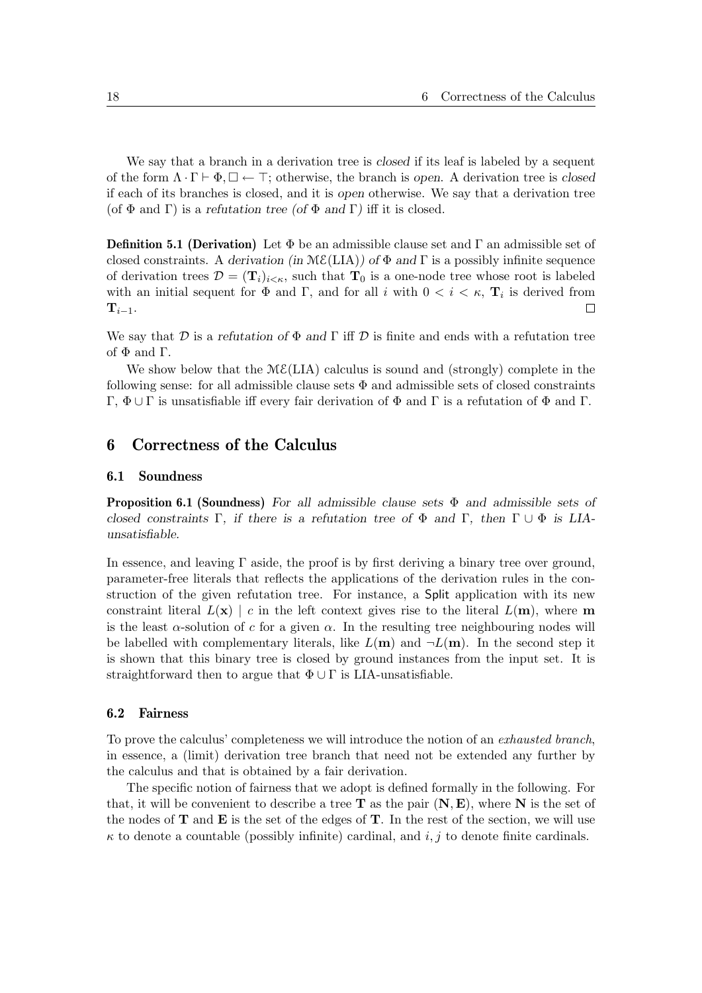We say that a branch in a derivation tree is *closed* if its leaf is labeled by a sequent of the form  $\Lambda \cdot \Gamma \vdash \Phi, \Box \leftarrow \top$ ; otherwise, the branch is open. A derivation tree is closed if each of its branches is closed, and it is open otherwise. We say that a derivation tree (of  $\Phi$  and Γ) is a refutation tree (of  $\Phi$  and Γ) iff it is closed.

**Definition 5.1 (Derivation)** Let  $\Phi$  be an admissible clause set and  $\Gamma$  an admissible set of closed constraints. A derivation (in  $M\mathcal{E}(LIA)$ ) of  $\Phi$  and  $\Gamma$  is a possibly infinite sequence of derivation trees  $\mathcal{D} = (\mathbf{T}_i)_{i \leq \kappa}$ , such that  $\mathbf{T}_0$  is a one-node tree whose root is labeled with an initial sequent for  $\Phi$  and  $\Gamma$ , and for all i with  $0 < i < \kappa$ ,  $\mathbf{T}_i$  is derived from  $\mathbf{T}_{i-1}$ .  $\Box$ 

We say that D is a refutation of  $\Phi$  and  $\Gamma$  iff D is finite and ends with a refutation tree of  $\Phi$  and  $\Gamma$ .

We show below that the  $M\mathcal{E}(LIA)$  calculus is sound and (strongly) complete in the following sense: for all admissible clause sets  $\Phi$  and admissible sets of closed constraints Γ, Φ ∪ Γ is unsatisfiable iff every fair derivation of Φ and Γ is a refutation of Φ and Γ.

# 6 Correctness of the Calculus

#### <span id="page-17-0"></span>6.1 Soundness

<span id="page-17-1"></span>**Proposition 6.1 (Soundness)** For all admissible clause sets  $\Phi$  and admissible sets of closed constraints Γ, if there is a refutation tree of  $\Phi$  and Γ, then  $\Gamma \cup \Phi$  is LIAunsatisfiable.

In essence, and leaving  $\Gamma$  aside, the proof is by first deriving a binary tree over ground, parameter-free literals that reflects the applications of the derivation rules in the construction of the given refutation tree. For instance, a Split application with its new constraint literal  $L(\mathbf{x}) \mid c$  in the left context gives rise to the literal  $L(\mathbf{m})$ , where m is the least  $\alpha$ -solution of c for a given  $\alpha$ . In the resulting tree neighbouring nodes will be labelled with complementary literals, like  $L(\mathbf{m})$  and  $\neg L(\mathbf{m})$ . In the second step it is shown that this binary tree is closed by ground instances from the input set. It is straightforward then to argue that  $\Phi \cup \Gamma$  is LIA-unsatisfiable.

#### 6.2 Fairness

To prove the calculus' completeness we will introduce the notion of an exhausted branch, in essence, a (limit) derivation tree branch that need not be extended any further by the calculus and that is obtained by a fair derivation.

The specific notion of fairness that we adopt is defined formally in the following. For that, it will be convenient to describe a tree  $T$  as the pair  $(N, E)$ , where N is the set of the nodes of  $T$  and  $E$  is the set of the edges of  $T$ . In the rest of the section, we will use  $\kappa$  to denote a countable (possibly infinite) cardinal, and i, j to denote finite cardinals.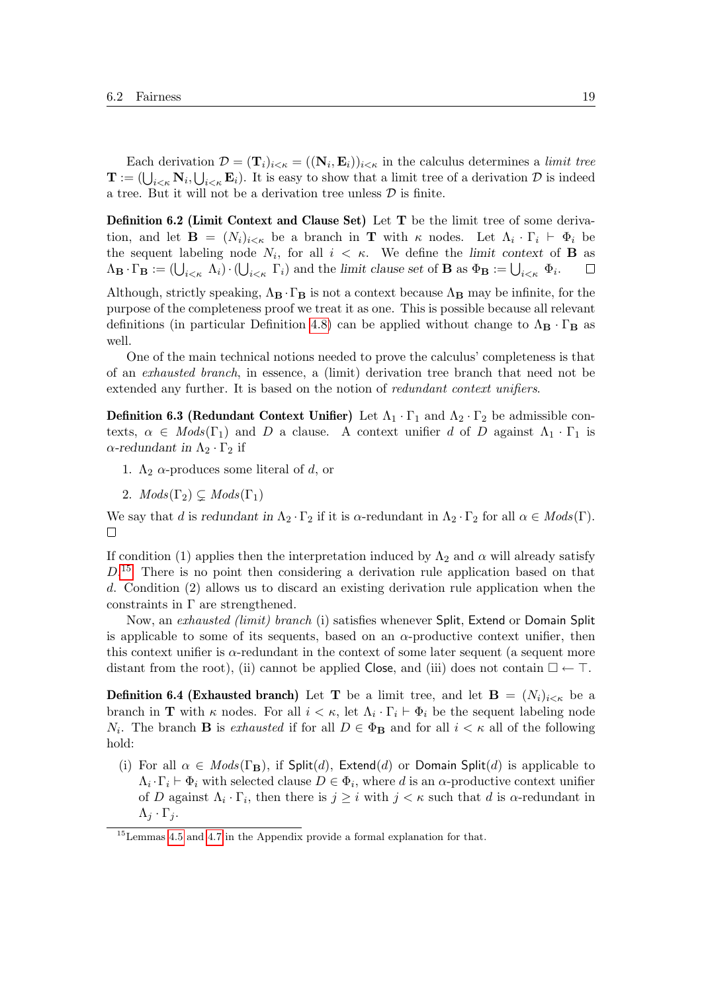Each derivation  $\mathcal{D} = (\mathbf{T}_i)_{i \le \kappa} = ((\mathbf{N}_i, \mathbf{E}_i))_{i \le \kappa}$  in the calculus determines a limit tree  $\mathbf{T} := (\bigcup_{i \leq \kappa} \mathbf{N}_i, \bigcup_{i \leq \kappa} \mathbf{E}_i)$ . It is easy to show that a limit tree of a derivation  $\mathcal{D}$  is indeed a tree. But it will not be a derivation tree unless  $\mathcal D$  is finite.

Definition 6.2 (Limit Context and Clause Set) Let T be the limit tree of some derivation, and let  $\mathbf{B} = (N_i)_{i \leq \kappa}$  be a branch in **T** with  $\kappa$  nodes. Let  $\Lambda_i \cdot \Gamma_i \vdash \Phi_i$  be the sequent labeling node  $N_i$ , for all  $i < \kappa$ . We define the limit context of **B** as  $\Lambda_{\mathbf{B}} \cdot \Gamma_{\mathbf{B}} := (\bigcup_{i \leq \kappa} \Lambda_i) \cdot (\bigcup_{i \leq \kappa} \Gamma_i)$  and the limit clause set of **B** as  $\Phi_{\mathbf{B}} := \bigcup_{i \leq \kappa} \Phi_i$ .  $\Box$ 

Although, strictly speaking,  $\Lambda_B \cdot \Gamma_B$  is not a context because  $\Lambda_B$  may be infinite, for the purpose of the completeness proof we treat it as one. This is possible because all relevant definitions (in particular Definition [4.8\)](#page-12-0) can be applied without change to  $\Lambda_{\mathbf{B}} \cdot \Gamma_{\mathbf{B}}$  as well.

One of the main technical notions needed to prove the calculus' completeness is that of an exhausted branch, in essence, a (limit) derivation tree branch that need not be extended any further. It is based on the notion of redundant context unifiers.

**Definition 6.3 (Redundant Context Unifier)** Let  $\Lambda_1 \cdot \Gamma_1$  and  $\Lambda_2 \cdot \Gamma_2$  be admissible contexts,  $\alpha \in Mod(s(\Gamma_1))$  and D a clause. A context unifier d of D against  $\Lambda_1 \cdot \Gamma_1$  is  $\alpha$ -redundant in  $\Lambda_2 \cdot \Gamma_2$  if

- <span id="page-18-2"></span>1.  $\Lambda_2$   $\alpha$ -produces some literal of d, or
- 2.  $Mods(\Gamma_2) \subsetq Mods(\Gamma_1)$

We say that d is redundant in  $\Lambda_2 \cdot \Gamma_2$  if it is  $\alpha$ -redundant in  $\Lambda_2 \cdot \Gamma_2$  for all  $\alpha \in Mod(s(\Gamma))$ .  $\Box$ 

If condition (1) applies then the interpretation induced by  $\Lambda_2$  and  $\alpha$  will already satisfy  $D<sup>15</sup>$  $D<sup>15</sup>$  $D<sup>15</sup>$  There is no point then considering a derivation rule application based on that d. Condition (2) allows us to discard an existing derivation rule application when the constraints in  $\Gamma$  are strengthened.

Now, an exhausted (limit) branch (i) satisfies whenever Split, Extend or Domain Split is applicable to some of its sequents, based on an  $\alpha$ -productive context unifier, then this context unifier is  $\alpha$ -redundant in the context of some later sequent (a sequent more distant from the root), (ii) cannot be applied Close, and (iii) does not contain  $\square \leftarrow \top$ .

<span id="page-18-1"></span>**Definition 6.4 (Exhausted branch)** Let **T** be a limit tree, and let **B** =  $(N_i)_{i \leq \kappa}$  be a branch in **T** with  $\kappa$  nodes. For all  $i < \kappa$ , let  $\Lambda_i \cdot \Gamma_i \vdash \Phi_i$  be the sequent labeling node  $N_i$ . The branch **B** is exhausted if for all  $D \in \Phi_B$  and for all  $i < \kappa$  all of the following hold:

(i) For all  $\alpha \in Mods(\Gamma_B)$ , if Split(d), Extend(d) or Domain Split(d) is applicable to  $\Lambda_i \cdot \Gamma_i \vdash \Phi_i$  with selected clause  $D \in \Phi_i$ , where d is an  $\alpha$ -productive context unifier of D against  $\Lambda_i \cdot \Gamma_i$ , then there is  $j \geq i$  with  $j < \kappa$  such that d is  $\alpha$ -redundant in  $\Lambda_j \cdot \Gamma_j$ .

<span id="page-18-0"></span><sup>15</sup>Lemmas [4.5](#page-11-2) and [4.7](#page-11-4) in the Appendix provide a formal explanation for that.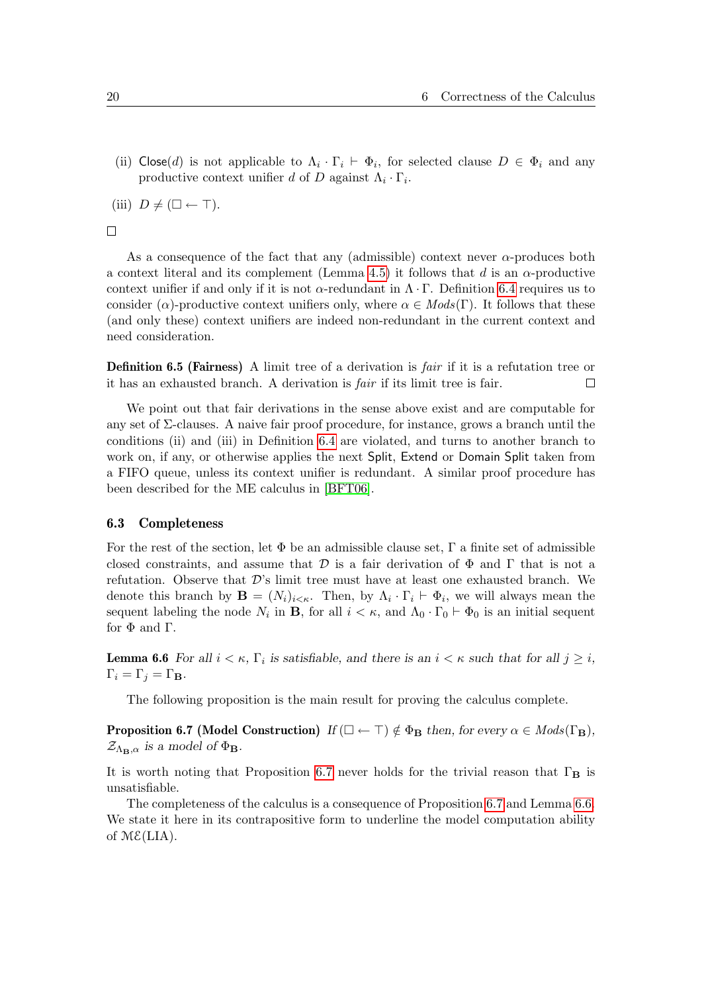(ii) Close(d) is not applicable to  $\Lambda_i \cdot \Gamma_i \vdash \Phi_i$ , for selected clause  $D \in \Phi_i$  and any productive context unifier d of D against  $\Lambda_i \cdot \Gamma_i$ .

(iii)  $D \neq (\square \leftarrow \top)$ .

 $\Box$ 

As a consequence of the fact that any (admissible) context never  $\alpha$ -produces both a context literal and its complement (Lemma [4.5\)](#page-11-2) it follows that d is an  $\alpha$ -productive context unifier if and only if it is not  $\alpha$ -redundant in  $\Lambda \cdot \Gamma$ . Definition [6.4](#page-18-1) requires us to consider ( $\alpha$ )-productive context unifiers only, where  $\alpha \in Mod(s(\Gamma))$ . It follows that these (and only these) context unifiers are indeed non-redundant in the current context and need consideration.

Definition 6.5 (Fairness) A limit tree of a derivation is *fair* if it is a refutation tree or it has an exhausted branch. A derivation is fair if its limit tree is fair.  $\Box$ 

We point out that fair derivations in the sense above exist and are computable for any set of Σ-clauses. A naive fair proof procedure, for instance, grows a branch until the conditions (ii) and (iii) in Definition [6.4](#page-18-1) are violated, and turns to another branch to work on, if any, or otherwise applies the next Split, Extend or Domain Split taken from a FIFO queue, unless its context unifier is redundant. A similar proof procedure has been described for the ME calculus in [\[BFT06\]](#page-21-9).

#### <span id="page-19-3"></span>6.3 Completeness

For the rest of the section, let  $\Phi$  be an admissible clause set,  $\Gamma$  a finite set of admissible closed constraints, and assume that  $\mathcal D$  is a fair derivation of  $\Phi$  and  $\Gamma$  that is not a refutation. Observe that  $\mathcal{D}'$ 's limit tree must have at least one exhausted branch. We denote this branch by  $\mathbf{B} = (N_i)_{i \leq \kappa}$ . Then, by  $\Lambda_i \cdot \Gamma_i \vdash \Phi_i$ , we will always mean the sequent labeling the node  $N_i$  in **B**, for all  $i < \kappa$ , and  $\Lambda_0 \cdot \Gamma_0 \vdash \Phi_0$  is an initial sequent for Φ and Γ.

<span id="page-19-1"></span>**Lemma 6.6** For all  $i < \kappa$ ,  $\Gamma_i$  is satisfiable, and there is an  $i < \kappa$  such that for all  $j \geq i$ ,  $\Gamma_i = \Gamma_j = \Gamma_B.$ 

<span id="page-19-0"></span>The following proposition is the main result for proving the calculus complete.

**Proposition 6.7 (Model Construction)** If  $(\Box \leftarrow \top) \notin \Phi_B$  then, for every  $\alpha \in Mods(\Gamma_B)$ ,  $\mathcal{Z}_{\Lambda_{\mathbf{B}},\alpha}$  is a model of  $\Phi_{\mathbf{B}}$ .

It is worth noting that Proposition [6.7](#page-19-0) never holds for the trivial reason that  $\Gamma_{\mathbf{B}}$  is unsatisfiable.

<span id="page-19-2"></span>The completeness of the calculus is a consequence of Proposition [6.7](#page-19-0) and Lemma [6.6.](#page-19-1) We state it here in its contrapositive form to underline the model computation ability of  $M\mathcal{E}(LIA)$ .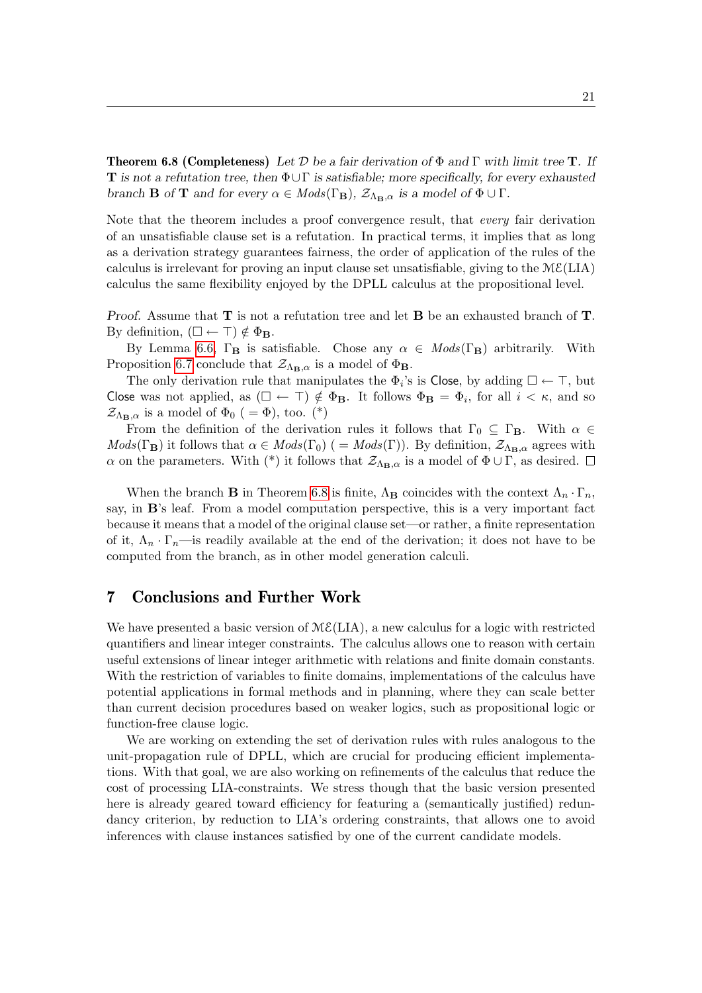**Theorem 6.8 (Completeness)** Let D be a fair derivation of  $\Phi$  and  $\Gamma$  with limit tree **T**. If **T** is not a refutation tree, then  $\Phi \cup \Gamma$  is satisfiable; more specifically, for every exhausted branch **B** of **T** and for every  $\alpha \in Mods(\Gamma_{\mathbf{B}}), \mathcal{Z}_{\Lambda_{\mathbf{B}},\alpha}$  is a model of  $\Phi \cup \Gamma$ .

Note that the theorem includes a proof convergence result, that *every* fair derivation of an unsatisfiable clause set is a refutation. In practical terms, it implies that as long as a derivation strategy guarantees fairness, the order of application of the rules of the calculus is irrelevant for proving an input clause set unsatisfiable, giving to the  $M\mathcal{E}(LIA)$ calculus the same flexibility enjoyed by the DPLL calculus at the propositional level.

Proof. Assume that  $\mathbf T$  is not a refutation tree and let  $\mathbf B$  be an exhausted branch of  $\mathbf T$ . By definition,  $(\Box \leftarrow \top) \notin \Phi_{\mathbf{B}}$ .

By Lemma [6.6,](#page-19-1)  $\Gamma_{\mathbf{B}}$  is satisfiable. Chose any  $\alpha \in Mods(\Gamma_{\mathbf{B}})$  arbitrarily. With Proposition [6.7](#page-19-0) conclude that  $\mathcal{Z}_{\Lambda_{\mathbf{B}},\alpha}$  is a model of  $\Phi_{\mathbf{B}}$ .

The only derivation rule that manipulates the  $\Phi_i$ 's is Close, by adding  $\square \leftarrow \top$ , but Close was not applied, as  $(\Box \leftarrow \top) \notin \Phi_B$ . It follows  $\Phi_B = \Phi_i$ , for all  $i < \kappa$ , and so  $\mathcal{Z}_{\Lambda_{\mathbf{B}},\alpha}$  is a model of  $\Phi_0$  ( =  $\Phi$ ), too. (\*)

From the definition of the derivation rules it follows that  $\Gamma_0 \subseteq \Gamma_{\mathbf{B}}$ . With  $\alpha \in$  $Mods(\Gamma_{\mathbf{B}})$  it follows that  $\alpha \in Mods(\Gamma_0)$  (=  $Mods(\Gamma)$ ). By definition,  $\mathcal{Z}_{\Lambda_{\mathbf{B}},\alpha}$  agrees with α on the parameters. With (\*) it follows that  $\mathcal{Z}_{\Lambda_{\mathbf{B}},\alpha}$  is a model of  $\Phi \cup \Gamma$ , as desired.  $\Box$ 

When the branch **B** in Theorem [6.8](#page-19-2) is finite,  $\Lambda_B$  coincides with the context  $\Lambda_n \cdot \Gamma_n$ , say, in B's leaf. From a model computation perspective, this is a very important fact because it means that a model of the original clause set—or rather, a finite representation of it,  $\Lambda_n \cdot \Gamma_n$ —is readily available at the end of the derivation; it does not have to be computed from the branch, as in other model generation calculi.

## 7 Conclusions and Further Work

We have presented a basic version of  $M\mathcal{E}(LIA)$ , a new calculus for a logic with restricted quantifiers and linear integer constraints. The calculus allows one to reason with certain useful extensions of linear integer arithmetic with relations and finite domain constants. With the restriction of variables to finite domains, implementations of the calculus have potential applications in formal methods and in planning, where they can scale better than current decision procedures based on weaker logics, such as propositional logic or function-free clause logic.

We are working on extending the set of derivation rules with rules analogous to the unit-propagation rule of DPLL, which are crucial for producing efficient implementations. With that goal, we are also working on refinements of the calculus that reduce the cost of processing LIA-constraints. We stress though that the basic version presented here is already geared toward efficiency for featuring a (semantically justified) redundancy criterion, by reduction to LIA's ordering constraints, that allows one to avoid inferences with clause instances satisfied by one of the current candidate models.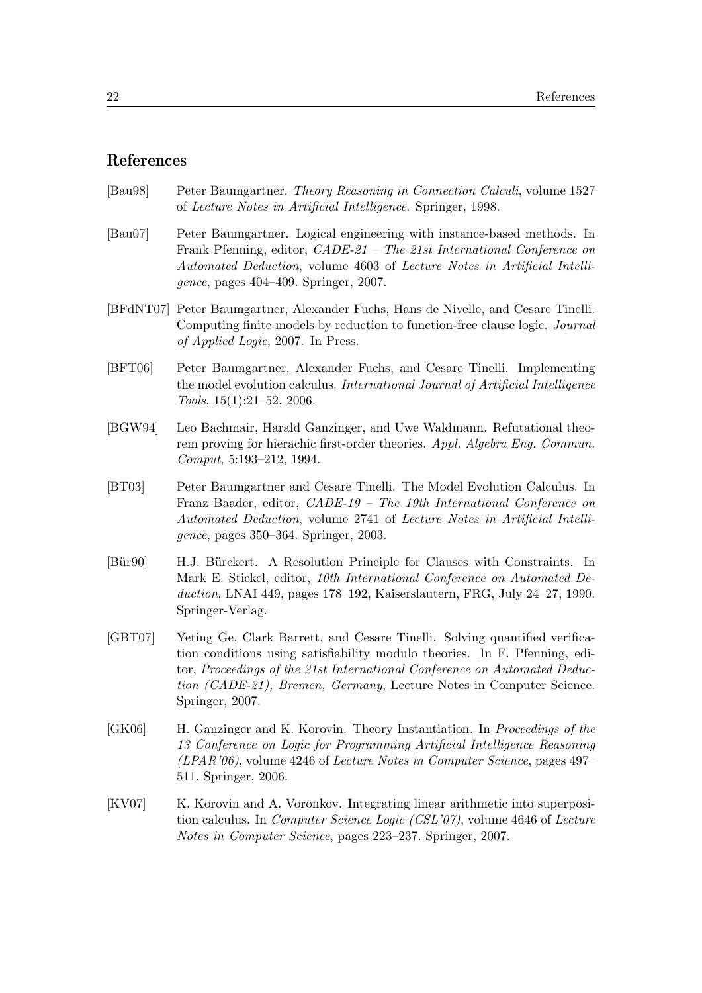## References

<span id="page-21-4"></span>

| [Bau98] | Peter Baumgartner. Theory Reasoning in Connection Calculi, volume 1527 |
|---------|------------------------------------------------------------------------|
|         | of Lecture Notes in Artificial Intelligence. Springer, 1998.           |

- <span id="page-21-8"></span>[Bau07] Peter Baumgartner. Logical engineering with instance-based methods. In Frank Pfenning, editor, CADE-21 – The 21st International Conference on Automated Deduction, volume 4603 of Lecture Notes in Artificial Intelligence, pages 404–409. Springer, 2007.
- <span id="page-21-2"></span>[BFdNT07] Peter Baumgartner, Alexander Fuchs, Hans de Nivelle, and Cesare Tinelli. Computing finite models by reduction to function-free clause logic. Journal of Applied Logic, 2007. In Press.
- <span id="page-21-9"></span>[BFT06] Peter Baumgartner, Alexander Fuchs, and Cesare Tinelli. Implementing the model evolution calculus. International Journal of Artificial Intelligence Tools, 15(1):21–52, 2006.
- <span id="page-21-6"></span>[BGW94] Leo Bachmair, Harald Ganzinger, and Uwe Waldmann. Refutational theorem proving for hierachic first-order theories. Appl. Algebra Eng. Commun. Comput, 5:193–212, 1994.
- <span id="page-21-3"></span>[BT03] Peter Baumgartner and Cesare Tinelli. The Model Evolution Calculus. In Franz Baader, editor, CADE-19 – The 19th International Conference on Automated Deduction, volume 2741 of Lecture Notes in Artificial Intelligence, pages 350–364. Springer, 2003.
- <span id="page-21-1"></span>[Bür90] H.J. Bürckert. A Resolution Principle for Clauses with Constraints. In Mark E. Stickel, editor, 10th International Conference on Automated Deduction, LNAI 449, pages 178–192, Kaiserslautern, FRG, July 24–27, 1990. Springer-Verlag.
- <span id="page-21-0"></span>[GBT07] Yeting Ge, Clark Barrett, and Cesare Tinelli. Solving quantified verification conditions using satisfiability modulo theories. In F. Pfenning, editor, Proceedings of the 21st International Conference on Automated Deduction (CADE-21), Bremen, Germany, Lecture Notes in Computer Science. Springer, 2007.
- <span id="page-21-5"></span>[GK06] H. Ganzinger and K. Korovin. Theory Instantiation. In Proceedings of the 13 Conference on Logic for Programming Artificial Intelligence Reasoning  $(LPAR'06)$ , volume 4246 of Lecture Notes in Computer Science, pages 497– 511. Springer, 2006.
- <span id="page-21-7"></span>[KV07] K. Korovin and A. Voronkov. Integrating linear arithmetic into superposition calculus. In Computer Science Logic (CSL'07), volume 4646 of Lecture Notes in Computer Science, pages 223–237. Springer, 2007.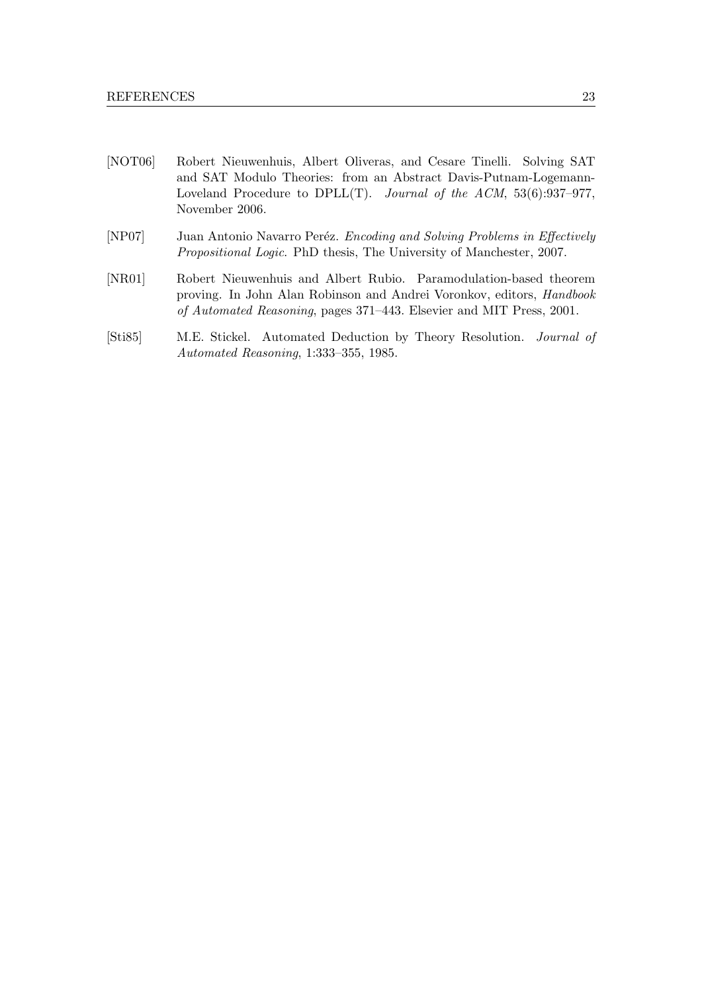- <span id="page-22-3"></span>[NOT06] Robert Nieuwenhuis, Albert Oliveras, and Cesare Tinelli. Solving SAT and SAT Modulo Theories: from an Abstract Davis-Putnam-Logemann-Loveland Procedure to DPLL $(T)$ . Journal of the ACM, 53(6):937-977, November 2006.
- <span id="page-22-1"></span>[NP07] Juan Antonio Navarro Peréz. Encoding and Solving Problems in Effectively Propositional Logic. PhD thesis, The University of Manchester, 2007.
- <span id="page-22-2"></span>[NR01] Robert Nieuwenhuis and Albert Rubio. Paramodulation-based theorem proving. In John Alan Robinson and Andrei Voronkov, editors, Handbook of Automated Reasoning, pages 371–443. Elsevier and MIT Press, 2001.
- <span id="page-22-0"></span>[Sti85] M.E. Stickel. Automated Deduction by Theory Resolution. Journal of Automated Reasoning, 1:333–355, 1985.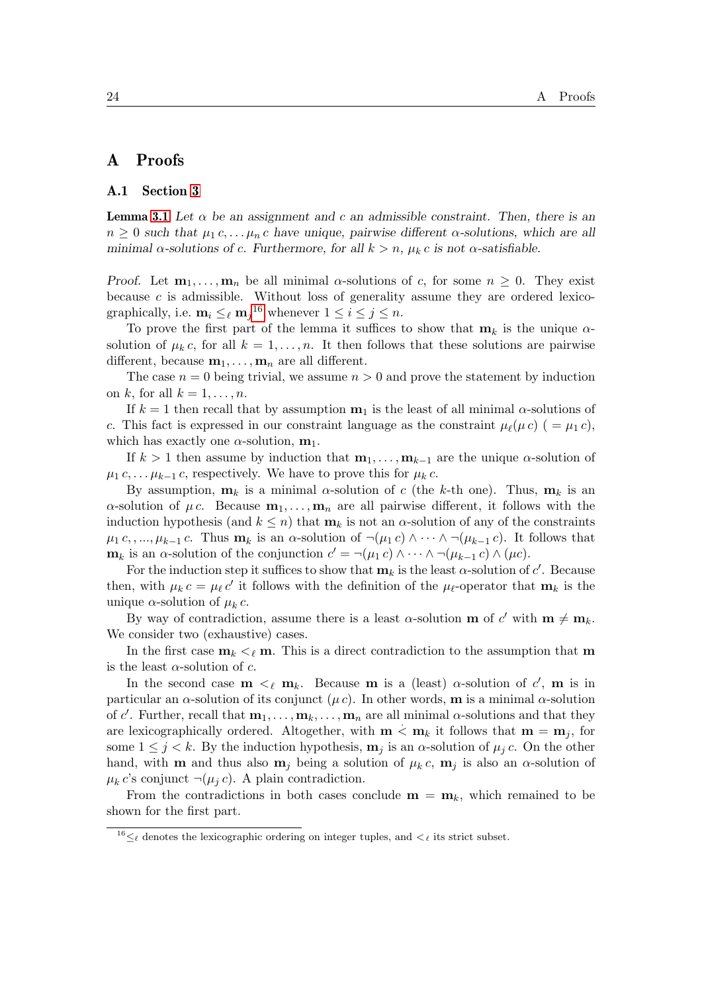### A Proofs

#### A.1 Section [3](#page-6-0)

**Lemma [3.1](#page-7-1)** Let  $\alpha$  be an assignment and c an admissible constraint. Then, there is an  $n \geq 0$  such that  $\mu_1 c, \ldots, \mu_n c$  have unique, pairwise different  $\alpha$ -solutions, which are all minimal  $\alpha$ -solutions of c. Furthermore, for all  $k > n$ ,  $\mu_k c$  is not  $\alpha$ -satisfiable.

Proof. Let  $m_1, \ldots, m_n$  be all minimal  $\alpha$ -solutions of c, for some  $n \geq 0$ . They exist because  $c$  is admissible. Without loss of generality assume they are ordered lexicographically, i.e.  $\mathbf{m}_i \leq_{\ell} \mathbf{m}_j^{16}$  $\mathbf{m}_i \leq_{\ell} \mathbf{m}_j^{16}$  $\mathbf{m}_i \leq_{\ell} \mathbf{m}_j^{16}$  whenever  $1 \leq i \leq j \leq n$ .

To prove the first part of the lemma it suffices to show that  $m_k$  is the unique  $\alpha$ solution of  $\mu_k c$ , for all  $k = 1, \ldots, n$ . It then follows that these solutions are pairwise different, because  $\mathbf{m}_1, \ldots, \mathbf{m}_n$  are all different.

The case  $n = 0$  being trivial, we assume  $n > 0$  and prove the statement by induction on k, for all  $k = 1, \ldots, n$ .

If  $k = 1$  then recall that by assumption  $\mathbf{m}_1$  is the least of all minimal  $\alpha$ -solutions of c. This fact is expressed in our constraint language as the constraint  $\mu_{\ell}(\mu c)$  ( =  $\mu_1 c$ ), which has exactly one  $\alpha$ -solution,  $m_1$ .

If  $k > 1$  then assume by induction that  $\mathbf{m}_1, \ldots, \mathbf{m}_{k-1}$  are the unique  $\alpha$ -solution of  $\mu_1 c, \ldots \mu_{k-1} c$ , respectively. We have to prove this for  $\mu_k c$ .

By assumption,  $\mathbf{m}_k$  is a minimal  $\alpha$ -solution of c (the k-th one). Thus,  $\mathbf{m}_k$  is an  $\alpha$ -solution of  $\mu c$ . Because  $\mathbf{m}_1, \ldots, \mathbf{m}_n$  are all pairwise different, it follows with the induction hypothesis (and  $k \leq n$ ) that  $m_k$  is not an  $\alpha$ -solution of any of the constraints  $\mu_1 c, \ldots, \mu_{k-1} c$ . Thus  $\mathbf{m}_k$  is an  $\alpha$ -solution of  $\neg(\mu_1 c) \wedge \cdots \wedge \neg(\mu_{k-1} c)$ . It follows that  $\mathbf{m}_k$  is an  $\alpha$ -solution of the conjunction  $c' = \neg(\mu_1 c) \wedge \cdots \wedge \neg(\mu_{k-1} c) \wedge (\mu c)$ .

For the induction step it suffices to show that  $\mathbf{m}_k$  is the least  $\alpha$ -solution of  $c'$ . Because then, with  $\mu_k c = \mu_\ell c'$  it follows with the definition of the  $\mu_\ell$ -operator that  $\mathbf{m}_k$  is the unique  $\alpha$ -solution of  $\mu_k c$ .

By way of contradiction, assume there is a least  $\alpha$ -solution **m** of  $c'$  with **m**  $\neq$  **m**<sub>k</sub>. We consider two (exhaustive) cases.

In the first case  $m_k <_\ell m$ . This is a direct contradiction to the assumption that m is the least  $\alpha$ -solution of c.

In the second case  $m \leq_{\ell} m_k$ . Because m is a (least)  $\alpha$ -solution of c', m is in particular an  $\alpha$ -solution of its conjunct ( $\mu c$ ). In other words, **m** is a minimal  $\alpha$ -solution of c'. Further, recall that  $\mathbf{m}_1, \ldots, \mathbf{m}_k, \ldots, \mathbf{m}_n$  are all minimal  $\alpha$ -solutions and that they are lexicographically ordered. Altogether, with  $m < m_k$  it follows that  $m = m_j$ , for some  $1 \leq j \leq k$ . By the induction hypothesis,  $\mathbf{m}_j$  is an  $\alpha$ -solution of  $\mu_j c$ . On the other hand, with **m** and thus also  $\mathbf{m}_j$  being a solution of  $\mu_k c$ ,  $\mathbf{m}_j$  is also an  $\alpha$ -solution of  $\mu_k c$ 's conjunct  $\neg(\mu_i c)$ . A plain contradiction.

From the contradictions in both cases conclude  $\mathbf{m} = \mathbf{m}_k$ , which remained to be shown for the first part.

<span id="page-23-0"></span><sup>&</sup>lt;sup>16</sup> $\leq_\ell$  denotes the lexicographic ordering on integer tuples, and  $\lt_\ell$  its strict subset.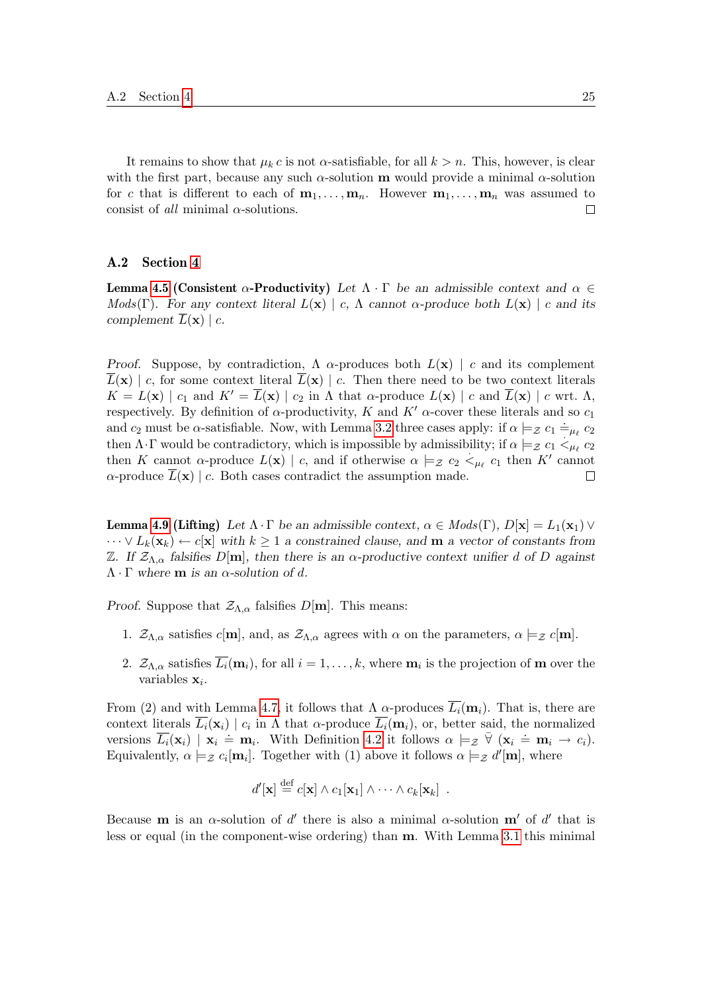It remains to show that  $\mu_k c$  is not  $\alpha$ -satisfiable, for all  $k > n$ . This, however, is clear with the first part, because any such  $\alpha$ -solution **m** would provide a minimal  $\alpha$ -solution for c that is different to each of  $m_1, \ldots, m_n$ . However  $m_1, \ldots, m_n$  was assumed to consist of *all* minimal  $\alpha$ -solutions.  $\Box$ 

#### A.2 Section [4](#page-9-1)

**Lemma [4.5](#page-11-2) (Consistent α-Productivity)** Let  $\Lambda \cdot \Gamma$  be an admissible context and  $\alpha \in \mathbb{R}$ Mods(Γ). For any context literal  $L(\mathbf{x}) \mid c$ ,  $\Lambda$  cannot  $\alpha$ -produce both  $L(\mathbf{x}) \mid c$  and its complement  $\overline{L}(\mathbf{x}) \mid c$ .

Proof. Suppose, by contradiction,  $\Lambda$  α-produces both  $L(\mathbf{x})$  | c and its complement  $\overline{L}(\mathbf{x})$  | c, for some context literal  $\overline{L}(\mathbf{x})$  | c. Then there need to be two context literals  $K = L(\mathbf{x}) | c_1$  and  $K' = \overline{L}(\mathbf{x}) | c_2$  in  $\Lambda$  that  $\alpha$ -produce  $L(\mathbf{x}) | c$  and  $\overline{L}(\mathbf{x}) | c$  wrt.  $\Lambda$ , respectively. By definition of  $\alpha$ -productivity, K and K'  $\alpha$ -cover these literals and so  $c_1$ and  $c_2$  must be  $\alpha$ -satisfiable. Now, with Lemma [3.2](#page-8-0) three cases apply: if  $\alpha \models z \ c_1 \models_{\mu_\ell} c_2$ then  $\Lambda \cdot \Gamma$  would be contradictory, which is impossible by admissibility; if  $\alpha \models_{\mathcal{Z}} c_1 <_{\mu_\ell} c_2$ then K cannot  $\alpha$ -produce  $L(\mathbf{x}) \mid c$ , and if otherwise  $\alpha \models_{\mathcal{Z}} c_2 \prec_{\mu_{\ell}} c_1$  then K' cannot  $\alpha$ -produce  $\overline{L}(\mathbf{x})$  | c. Both cases contradict the assumption made.  $\Box$ 

**Lemma [4.9](#page-12-4) (Lifting)** Let  $\Lambda \cdot \Gamma$  be an admissible context,  $\alpha \in Mod(s(\Gamma), D[\mathbf{x}] = L_1(\mathbf{x}_1) \vee$  $\cdots \vee L_k(\mathbf{x}_k) \leftarrow c[\mathbf{x}]$  with  $k \geq 1$  a constrained clause, and **m** a vector of constants from Z. If  $\mathcal{Z}_{\Lambda,\alpha}$  falsifies D[m], then there is an α-productive context unifier d of D against  $\Lambda \cdot \Gamma$  where **m** is an  $\alpha$ -solution of d.

*Proof.* Suppose that  $\mathcal{Z}_{\Lambda,\alpha}$  falsifies  $D[m]$ . This means:

- 1.  $\mathcal{Z}_{\Lambda,\alpha}$  satisfies  $c[m]$ , and, as  $\mathcal{Z}_{\Lambda,\alpha}$  agrees with  $\alpha$  on the parameters,  $\alpha \models z c[m]$ .
- 2.  $\mathcal{Z}_{\Lambda,\alpha}$  satisfies  $\overline{L_i(\mathbf{m}_i)}$ , for all  $i=1,\ldots,k$ , where  $\mathbf{m}_i$  is the projection of  $\mathbf m$  over the variables  $\mathbf{x}_i$ .

From (2) and with Lemma [4.7,](#page-11-4) it follows that  $\Lambda$  α-produces  $\overline{L_i}(\mathbf{m}_i)$ . That is, there are context literals  $L_i(\mathbf{x}_i) \mid c_i$  in  $\Lambda$  that  $\alpha$ -produce  $L_i(\mathbf{m}_i)$ , or, better said, the normalized versions  $\overline{L_i}(\mathbf{x}_i) | \mathbf{x}_i = \mathbf{m}_i$ . With Definition [4.2](#page-10-0) it follows  $\alpha \models z \ \nabla (\mathbf{x}_i = \mathbf{m}_i \rightarrow c_i)$ . Equivalently,  $\alpha \models_{\mathcal{Z}} c_i[m_i]$ . Together with (1) above it follows  $\alpha \models_{\mathcal{Z}} d'[m]$ , where

$$
d'[\mathbf{x}] \stackrel{\text{def}}{=} c[\mathbf{x}] \wedge c_1[\mathbf{x}_1] \wedge \cdots \wedge c_k[\mathbf{x}_k] .
$$

Because **m** is an  $\alpha$ -solution of d' there is also a minimal  $\alpha$ -solution **m**' of d' that is less or equal (in the component-wise ordering) than m. With Lemma [3.1](#page-7-1) this minimal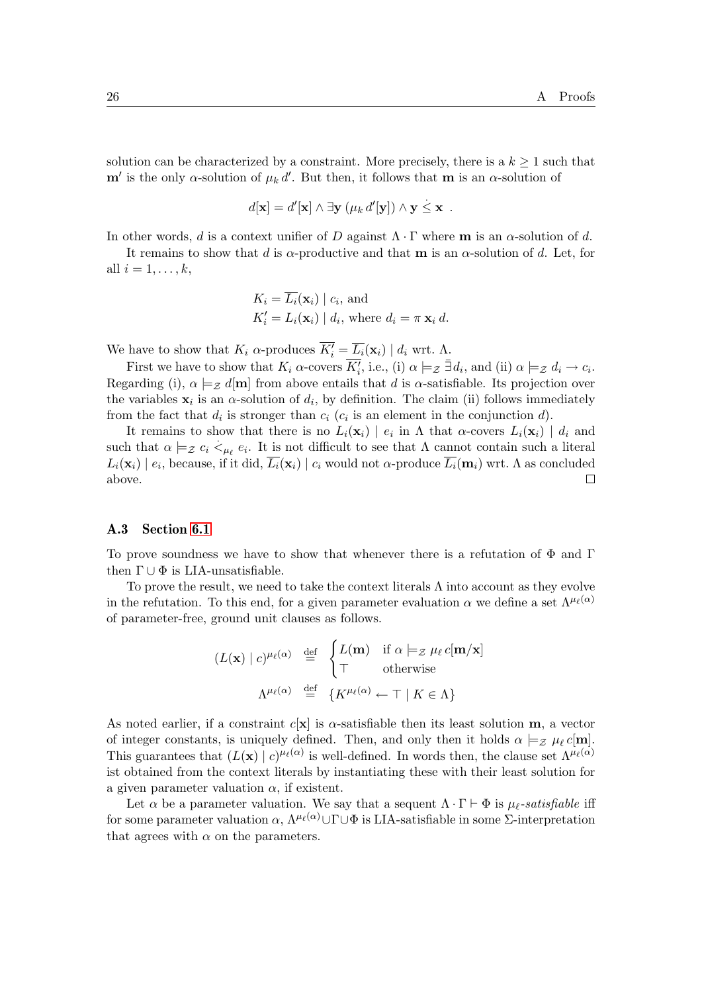solution can be characterized by a constraint. More precisely, there is a  $k \geq 1$  such that  $\mathbf{m}'$  is the only  $\alpha$ -solution of  $\mu_k d'$ . But then, it follows that  $\mathbf{m}$  is an  $\alpha$ -solution of

$$
d[\mathbf{x}] = d'[\mathbf{x}] \wedge \exists \mathbf{y} \ (\mu_k d'[\mathbf{y}]) \wedge \mathbf{y} \leq \mathbf{x} \ .
$$

In other words, d is a context unifier of D against  $\Lambda \cdot \Gamma$  where **m** is an  $\alpha$ -solution of d.

It remains to show that d is  $\alpha$ -productive and that **m** is an  $\alpha$ -solution of d. Let, for all  $i = 1, \ldots, k$ ,

$$
K_i = \overline{L_i}(\mathbf{x}_i) \mid c_i, \text{ and}
$$
  

$$
K'_i = L_i(\mathbf{x}_i) \mid d_i, \text{ where } d_i = \pi \mathbf{x}_i d.
$$

We have to show that  $K_i$   $\alpha$ -produces  $\overline{K'_i} = \overline{L_i}(\mathbf{x}_i) | d_i$  wrt.  $\Lambda$ .

First we have to show that  $K_i$   $\alpha$ -covers  $\overline{K'_i}$ , i.e., (i)  $\alpha \models_{\mathcal{Z}} \exists d_i$ , and (ii)  $\alpha \models_{\mathcal{Z}} d_i \rightarrow c_i$ . Regarding (i),  $\alpha \models_{\mathcal{Z}} d[m]$  from above entails that d is  $\alpha$ -satisfiable. Its projection over the variables  $x_i$  is an  $\alpha$ -solution of  $d_i$ , by definition. The claim (ii) follows immediately from the fact that  $d_i$  is stronger than  $c_i$  ( $c_i$  is an element in the conjunction d).

It remains to show that there is no  $L_i(\mathbf{x}_i) | e_i$  in  $\Lambda$  that  $\alpha$ -covers  $L_i(\mathbf{x}_i) | d_i$  and such that  $\alpha \models_{\mathcal{Z}} c_i \lt_{\mu_{\ell}} e_i$ . It is not difficult to see that  $\Lambda$  cannot contain such a literal  $L_i(\mathbf{x}_i) \mid e_i$ , because, if it did,  $L_i(\mathbf{x}_i) \mid c_i$  would not  $\alpha$ -produce  $L_i(\mathbf{m}_i)$  wrt. A as concluded above.  $\Box$ 

#### A.3 Section [6.1](#page-17-0)

To prove soundness we have to show that whenever there is a refutation of  $\Phi$  and  $\Gamma$ then  $\Gamma \cup \Phi$  is LIA-unsatisfiable.

To prove the result, we need to take the context literals  $\Lambda$  into account as they evolve in the refutation. To this end, for a given parameter evaluation  $\alpha$  we define a set  $\Lambda^{\mu_{\ell}(\alpha)}$ of parameter-free, ground unit clauses as follows.

$$
(L(\mathbf{x}) \mid c)^{\mu_{\ell}(\alpha)} \stackrel{\text{def}}{=} \begin{cases} L(\mathbf{m}) & \text{if } \alpha \models_{\mathcal{Z}} \mu_{\ell} c[\mathbf{m}/\mathbf{x}] \\ \top & \text{otherwise} \end{cases}
$$

$$
\Lambda^{\mu_{\ell}(\alpha)} \stackrel{\text{def}}{=} \{ K^{\mu_{\ell}(\alpha)} \leftarrow \top \mid K \in \Lambda \}
$$

As noted earlier, if a constraint  $c[x]$  is  $\alpha$ -satisfiable then its least solution **m**, a vector of integer constants, is uniquely defined. Then, and only then it holds  $\alpha \models_{\mathcal{Z}} \mu_{\ell} c[m]$ . This guarantees that  $(L(\mathbf{x}) | c)^{\mu_{\ell}(\alpha)}$  is well-defined. In words then, the clause set  $\Lambda^{\mu_{\ell}(\alpha)}$ ist obtained from the context literals by instantiating these with their least solution for a given parameter valuation  $\alpha$ , if existent.

Let  $\alpha$  be a parameter valuation. We say that a sequent  $\Lambda \cdot \Gamma \vdash \Phi$  is  $\mu_{\ell}$ -satisfiable iff for some parameter valuation  $\alpha$ ,  $\Lambda^{\mu_{\ell}(\alpha)}\cup\Gamma\cup\Phi$  is LIA-satisfiable in some  $\Sigma$ -interpretation that agrees with  $\alpha$  on the parameters.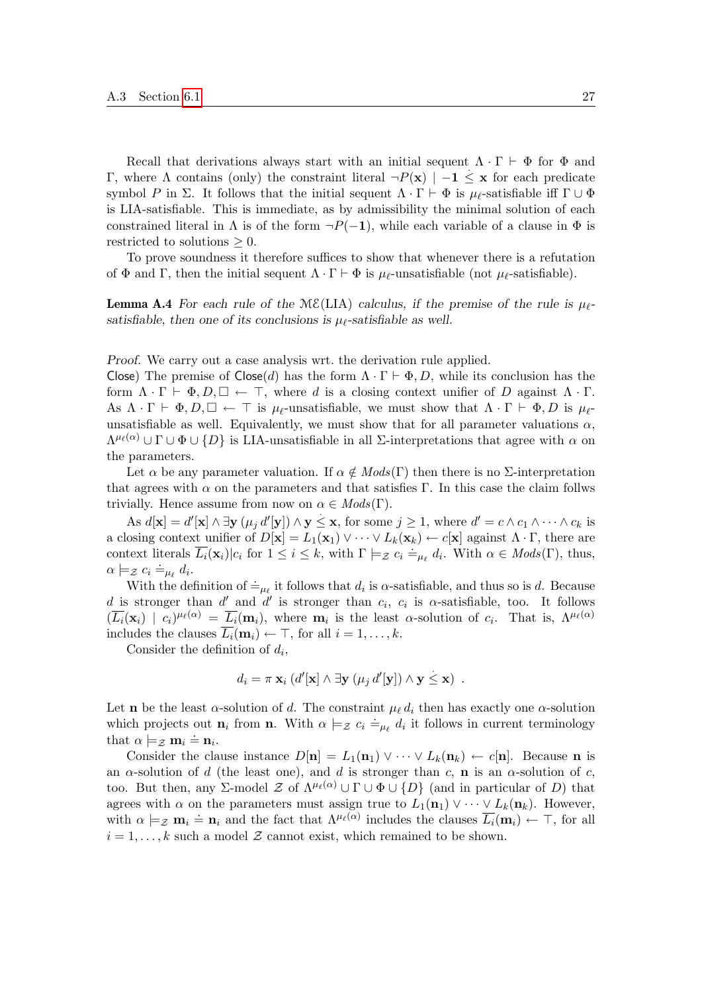Recall that derivations always start with an initial sequent  $\Lambda \cdot \Gamma \vdash \Phi$  for  $\Phi$  and Γ, where Λ contains (only) the constraint literal  $\neg P(x)$  | −1 ≤ x for each predicate symbol P in Σ. It follows that the initial sequent  $\Lambda \cdot \Gamma \vdash \Phi$  is  $\mu_{\ell}$ -satisfiable iff  $\Gamma \cup \Phi$ is LIA-satisfiable. This is immediate, as by admissibility the minimal solution of each constrained literal in  $\Lambda$  is of the form  $\neg P(-1)$ , while each variable of a clause in  $\Phi$  is restricted to solutions  $\geq 0$ .

To prove soundness it therefore suffices to show that whenever there is a refutation of  $\Phi$  and Γ, then the initial sequent  $\Lambda \cdot \Gamma \vdash \Phi$  is  $\mu_{\ell}$ -unsatisfiable (not  $\mu_{\ell}$ -satisfiable).

<span id="page-26-0"></span>**Lemma A.4** For each rule of the  $M\mathcal{E}(LIA)$  calculus, if the premise of the rule is  $\mu_{\ell}$ satisfiable, then one of its conclusions is  $\mu_{\ell}$ -satisfiable as well.

Proof. We carry out a case analysis wrt. the derivation rule applied.

Close) The premise of  $\textsf{Close}(d)$  has the form  $\Lambda \cdot \Gamma \vdash \Phi, D$ , while its conclusion has the form  $\Lambda \cdot \Gamma \vdash \Phi, D, \Box \leftarrow \top$ , where d is a closing context unifier of D against  $\Lambda \cdot \Gamma$ . As  $\Lambda \cdot \Gamma \vdash \Phi, D, \Box \leftarrow \top$  is  $\mu_{\ell}$ -unsatisfiable, we must show that  $\Lambda \cdot \Gamma \vdash \Phi, D$  is  $\mu_{\ell}$ unsatisfiable as well. Equivalently, we must show that for all parameter valuations  $\alpha$ ,  $\Lambda^{\mu_{\ell}(\alpha)} \cup \Gamma \cup \Phi \cup \{D\}$  is LIA-unsatisfiable in all  $\Sigma$ -interpretations that agree with  $\alpha$  on the parameters.

Let  $\alpha$  be any parameter valuation. If  $\alpha \notin Mod_{S}(\Gamma)$  then there is no  $\Sigma$ -interpretation that agrees with  $\alpha$  on the parameters and that satisfies Γ. In this case the claim follws trivially. Hence assume from now on  $\alpha \in Mod(s(\Gamma)).$ 

As  $d[\mathbf{x}] = d'[\mathbf{x}] \wedge \exists \mathbf{y}$   $(\mu_j d'[\mathbf{y}]) \wedge \mathbf{y} \leq \mathbf{x}$ , for some  $j \geq 1$ , where  $d' = c \wedge c_1 \wedge \cdots \wedge c_k$  is a closing context unifier of  $D[\mathbf{x}] = L_1(\mathbf{x}_1) \vee \cdots \vee L_k(\mathbf{x}_k) \leftarrow c[\mathbf{x}]$  against  $\Lambda \cdot \Gamma$ , there are context literals  $\overline{L_i}(\mathbf{x}_i)|c_i$  for  $1 \leq i \leq k$ , with  $\Gamma \models z \ c_i \doteq_{\mu_\ell} d_i$ . With  $\alpha \in Mod(s(\Gamma))$ , thus,  $\alpha \models_{\mathcal{Z}} c_i \doteq_{\mu_{\ell}} d_i.$ 

With the definition of  $\dot{=}_{\mu_{\ell}}$  it follows that  $d_i$  is  $\alpha$ -satisfiable, and thus so is d. Because d is stronger than d' and d' is stronger than  $c_i$ ,  $c_i$  is  $\alpha$ -satisfiable, too. It follows  $(\overline{L_i}(\mathbf{x}_i) \mid c_i)^{\mu_\ell(\alpha)} = \overline{L_i}(\mathbf{m}_i)$ , where  $\mathbf{m}_i$  is the least  $\alpha$ -solution of  $c_i$ . That is,  $\Lambda^{\mu_\ell(\alpha)}$ includes the clauses  $\overline{L_i}(\mathbf{m}_i) \leftarrow \top$ , for all  $i = 1, \ldots, k$ .

Consider the definition of  $d_i$ ,

$$
d_i = \pi \mathbf{x}_i \left( d'[\mathbf{x}] \wedge \exists \mathbf{y} \left( \mu_j d'[\mathbf{y}] \right) \wedge \mathbf{y} \leq \mathbf{x} \right) .
$$

Let **n** be the least  $\alpha$ -solution of d. The constraint  $\mu_{\ell} d_i$  then has exactly one  $\alpha$ -solution which projects out  $\mathbf{n}_i$  from  $\mathbf{n}$ . With  $\alpha \models z \ c_i \doteq_{\mu_\ell} d_i$  it follows in current terminology that  $\alpha \models_{\mathcal{Z}} \mathbf{m}_i \doteq \mathbf{n}_i$ .

Consider the clause instance  $D[n] = L_1(n_1) \vee \cdots \vee L_k(n_k) \leftarrow c[n]$ . Because n is an  $\alpha$ -solution of d (the least one), and d is stronger than c, **n** is an  $\alpha$ -solution of c, too. But then, any Σ-model Z of  $\Lambda^{\mu_{\ell}(\alpha)} \cup \Gamma \cup \Phi \cup \{D\}$  (and in particular of D) that agrees with  $\alpha$  on the parameters must assign true to  $L_1(\mathbf{n}_1) \vee \cdots \vee L_k(\mathbf{n}_k)$ . However, with  $\alpha \models_{\mathcal{Z}} \mathbf{m}_i \doteq \mathbf{n}_i$  and the fact that  $\Lambda^{\mu_{\ell}(\alpha)}$  includes the clauses  $\overline{L_i}(\mathbf{m}_i) \leftarrow \top$ , for all  $i = 1, \ldots, k$  such a model Z cannot exist, which remained to be shown.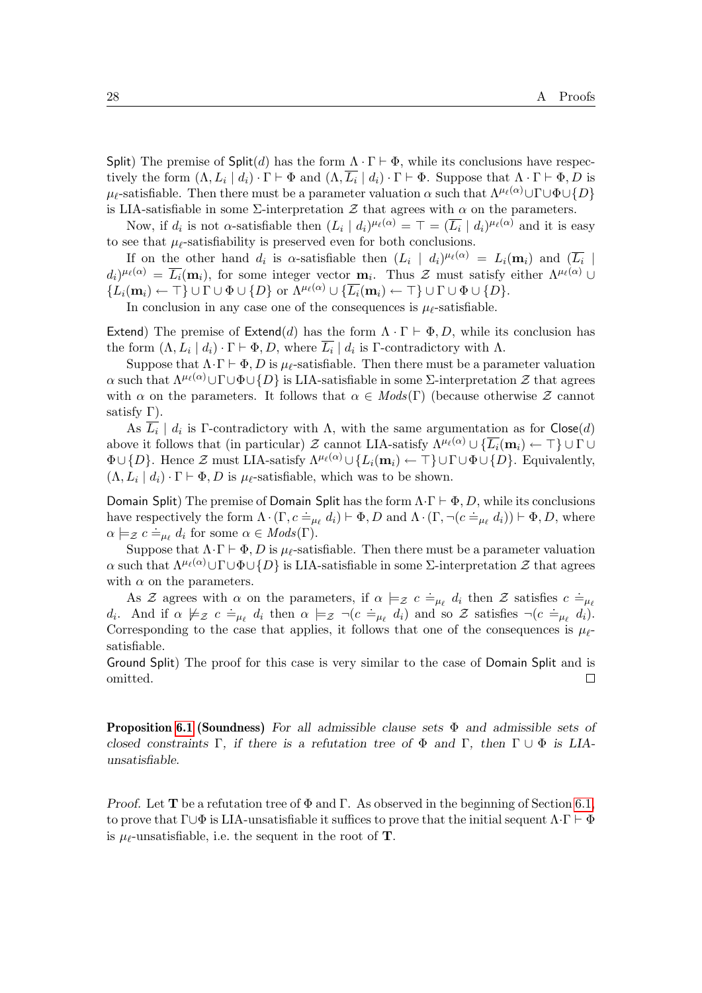Split) The premise of Split(d) has the form  $\Lambda \cdot \Gamma \vdash \Phi$ , while its conclusions have respectively the form  $(\Lambda, L_i | d_i) \cdot \Gamma \vdash \Phi$  and  $(\Lambda, L_i | d_i) \cdot \Gamma \vdash \Phi$ . Suppose that  $\Lambda \cdot \Gamma \vdash \Phi, D$  is  $\mu_{\ell}$ -satisfiable. Then there must be a parameter valuation  $\alpha$  such that  $\Lambda^{\mu_{\ell}(\alpha)}\cup\Gamma\cup\Phi\cup\{D\}$ is LIA-satisfiable in some  $\Sigma$ -interpretation  $\mathcal Z$  that agrees with  $\alpha$  on the parameters.

Now, if  $d_i$  is not  $\alpha$ -satisfiable then  $(L_i | d_i)^{\mu_\ell(\alpha)} = \top = (\overline{L_i} | d_i)^{\mu_\ell(\alpha)}$  and it is easy to see that  $\mu_{\ell}$ -satisfiability is preserved even for both conclusions.

If on the other hand  $d_i$  is  $\alpha$ -satisfiable then  $(L_i \mid d_i)^{\mu_\ell(\alpha)} = L_i(\mathbf{m}_i)$  and  $(\overline{L_i} \mid d_i)$  $d_i)^{\mu_\ell(\alpha)} = \overline{L_i}(\mathbf{m}_i)$ , for some integer vector  $\mathbf{m}_i$ . Thus  $\mathcal Z$  must satisfy either  $\Lambda^{\mu_\ell(\alpha)} \cup$  $\{L_i(\mathbf{m}_i) \leftarrow \top\} \cup \Gamma \cup \Phi \cup \{D\}$  or  $\Lambda^{\mu_\ell(\alpha)} \cup \{\overline{L_i}(\mathbf{m}_i) \leftarrow \top\} \cup \Gamma \cup \Phi \cup \{D\}.$ 

In conclusion in any case one of the consequences is  $\mu_{\ell}$ -satisfiable.

Extend) The premise of Extend(d) has the form  $\Lambda \cdot \Gamma \vdash \Phi, D$ , while its conclusion has the form  $(\Lambda, L_i | d_i) \cdot \Gamma \vdash \Phi, D$ , where  $\overline{L_i} | d_i$  is  $\Gamma$ -contradictory with  $\Lambda$ .

Suppose that  $\Lambda \cdot \Gamma \vdash \Phi$ , D is  $\mu_{\ell}$ -satisfiable. Then there must be a parameter valuation α such that  $\Lambda^{\mu(\alpha)} \cup \Gamma \cup \Phi \cup \{D\}$  is LIA-satisfiable in some Σ-interpretation  $\mathcal Z$  that agrees with  $\alpha$  on the parameters. It follows that  $\alpha \in Mod(s(\Gamma))$  (because otherwise Z cannot satisfy  $\Gamma$ ).

As  $\overline{L_i}$  |  $d_i$  is Γ-contradictory with  $\Lambda$ , with the same argumentation as for Close(d) above it follows that (in particular)  $\mathcal Z$  cannot LIA-satisfy  $\Lambda^{\mu_\ell(\alpha)} \cup \{ \overline{L_i}(\mathbf{m}_i) \leftarrow \top \} \cup \Gamma \cup$  $\Phi\cup\{D\}$ . Hence Z must LIA-satisfy  $\Lambda^{\mu(\alpha)}\cup\{L_i(m_i)\leftarrow\top\}\cup\Gamma\cup\Phi\cup\{D\}$ . Equivalently,  $(\Lambda, L_i | d_i) \cdot \Gamma \vdash \Phi, D$  is  $\mu_{\ell}$ -satisfiable, which was to be shown.

Domain Split) The premise of Domain Split has the form  $\Lambda \cdot \Gamma \vdash \Phi, D$ , while its conclusions both and pherical products of both and pherical state form  $\Lambda \cdot (\Gamma, c \doteq_{\mu_{\ell}} d_i) \vdash \Phi, D$  and  $\Lambda \cdot (\Gamma, \neg (c \doteq_{\mu_{\ell}} d_i)) \vdash \Phi, D$ , where  $\alpha \models z \ c \doteq_{\mu_{\ell}} d_i \text{ for some } \alpha \in Mods(\Gamma).$ 

Suppose that  $\Lambda \cdot \Gamma \vdash \Phi$ , D is  $\mu_{\ell}$ -satisfiable. Then there must be a parameter valuation α such that  $\Lambda^{\mu_{\ell}(\alpha)}\cup\Gamma\cup\Phi\cup\{D\}$  is LIA-satisfiable in some Σ-interpretation  $\mathcal Z$  that agrees with  $\alpha$  on the parameters.

As Z agrees with  $\alpha$  on the parameters, if  $\alpha \models_{\mathcal{Z}} c \doteq_{\mu_{\ell}} d_i$  then Z satisfies  $c \doteq_{\mu_{\ell}}$ d<sub>i</sub>. And if  $\alpha \not\models z \ c \doteq_{\mu_{\ell}} d_i$  then  $\alpha \models z \neg (c \doteq_{\mu_{\ell}} d_i)$  and so Z satisfies  $\neg (c \doteq_{\mu_{\ell}} d_i)$ . Corresponding to the case that applies, it follows that one of the consequences is  $\mu_{\ell}$ satisfiable.

Ground Split) The proof for this case is very similar to the case of Domain Split and is omitted.  $\Box$ 

**Proposition [6.1](#page-17-1) (Soundness)** For all admissible clause sets  $\Phi$  and admissible sets of closed constraints Γ, if there is a refutation tree of  $\Phi$  and Γ, then  $\Gamma \cup \Phi$  is LIAunsatisfiable.

Proof. Let **T** be a refutation tree of  $\Phi$  and  $\Gamma$ . As observed in the beginning of Section [6.1,](#page-17-0) to prove that  $\Gamma \cup \Phi$  is LIA-unsatisfiable it suffices to prove that the initial sequent  $\Lambda \cdot \Gamma \vdash \Phi$ is  $\mu_{\ell}$ -unsatisfiable, i.e. the sequent in the root of **T**.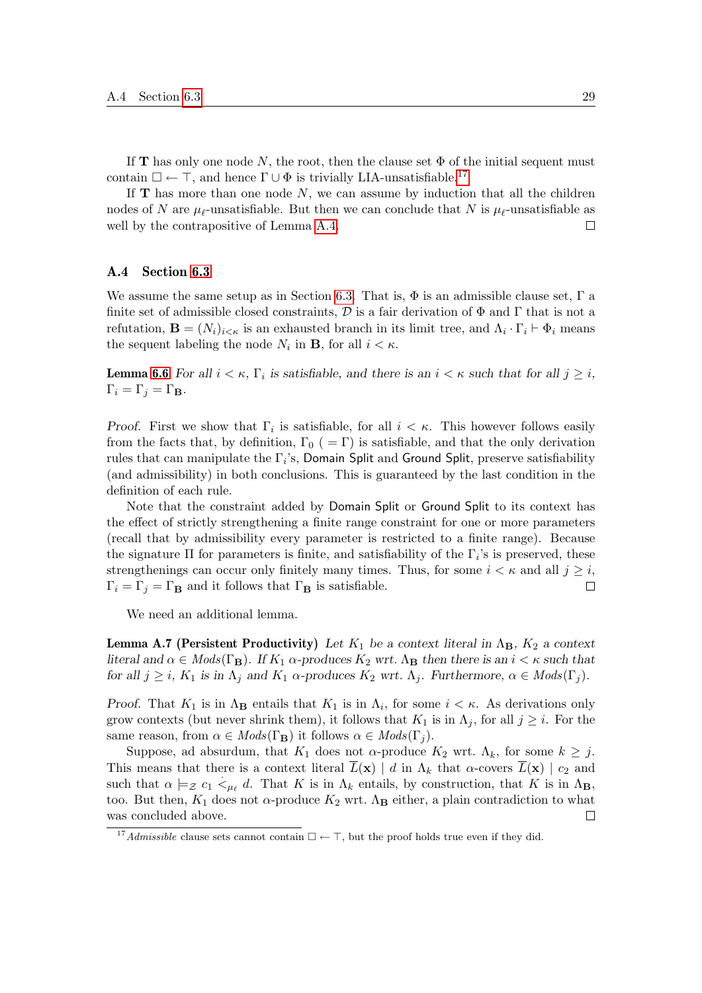If **T** has only one node N, the root, then the clause set  $\Phi$  of the initial sequent must contain  $\square\leftarrow\top,$  and hence  $\Gamma\cup\Phi$  is trivially LIA-unsatisfiable.  $^{17}$  $^{17}$  $^{17}$ 

If  **has more than one node**  $N$ **, we can assume by induction that all the children** nodes of N are  $\mu_{\ell}$ -unsatisfiable. But then we can conclude that N is  $\mu_{\ell}$ -unsatisfiable as well by the contrapositive of Lemma [A.4.](#page-26-0)  $\Box$ 

#### A.4 Section [6.3](#page-19-3)

We assume the same setup as in Section [6.3.](#page-19-3) That is,  $\Phi$  is an admissible clause set,  $\Gamma$  a finite set of admissible closed constraints,  $\mathcal D$  is a fair derivation of  $\Phi$  and  $\Gamma$  that is not a refutation,  $\mathbf{B} = (N_i)_{i \leq \kappa}$  is an exhausted branch in its limit tree, and  $\Lambda_i \cdot \Gamma_i \vdash \Phi_i$  means the sequent labeling the node  $N_i$  in **B**, for all  $i < \kappa$ .

**Lemma [6.6](#page-19-1)** For all  $i < \kappa$ ,  $\Gamma_i$  is satisfiable, and there is an  $i < \kappa$  such that for all  $j \geq i$ ,  $\Gamma_i = \Gamma_j = \Gamma_B.$ 

Proof. First we show that  $\Gamma_i$  is satisfiable, for all  $i < \kappa$ . This however follows easily from the facts that, by definition,  $\Gamma_0$  (=  $\Gamma$ ) is satisfiable, and that the only derivation rules that can manipulate the  $\Gamma_i$ 's, Domain Split and Ground Split, preserve satisfiability (and admissibility) in both conclusions. This is guaranteed by the last condition in the definition of each rule.

Note that the constraint added by Domain Split or Ground Split to its context has the effect of strictly strengthening a finite range constraint for one or more parameters (recall that by admissibility every parameter is restricted to a finite range). Because the signature  $\Pi$  for parameters is finite, and satisfiability of the  $\Gamma_i$ 's is preserved, these strengthenings can occur only finitely many times. Thus, for some  $i < \kappa$  and all  $j \geq i$ ,  $\Box$  $\Gamma_i = \Gamma_j = \Gamma_B$  and it follows that  $\Gamma_B$  is satisfiable.

We need an additional lemma.

<span id="page-28-1"></span>**Lemma A.7 (Persistent Productivity)** Let  $K_1$  be a context literal in  $\Lambda_{\mathbf{B}}$ ,  $K_2$  a context literal and  $\alpha \in Mods(\Gamma_{\mathbf{B}})$ . If  $K_1 \alpha$ -produces  $K_2$  wrt.  $\Lambda_{\mathbf{B}}$  then there is an  $i < \kappa$  such that for all  $j \geq i$ ,  $K_1$  is in  $\Lambda_j$  and  $K_1$   $\alpha$ -produces  $K_2$  wrt.  $\Lambda_j$ . Furthermore,  $\alpha \in Mod_s(\Gamma_j)$ .

Proof. That  $K_1$  is in  $\Lambda_{\mathbf{B}}$  entails that  $K_1$  is in  $\Lambda_i$ , for some  $i < \kappa$ . As derivations only grow contexts (but never shrink them), it follows that  $K_1$  is in  $\Lambda_j$ , for all  $j \geq i$ . For the same reason, from  $\alpha \in Mods(\Gamma_{\mathbf{B}})$  it follows  $\alpha \in Mods(\Gamma_i)$ .

Suppose, ad absurdum, that  $K_1$  does not  $\alpha$ -produce  $K_2$  wrt.  $\Lambda_k$ , for some  $k \geq j$ . This means that there is a context literal  $L(\mathbf{x}) \mid d$  in  $\Lambda_k$  that  $\alpha$ -covers  $L(\mathbf{x}) \mid c_2$  and such that  $\alpha \models_{\mathcal{Z}} c_1 \lt_{\mu_{\ell}} d$ . That K is in  $\Lambda_k$  entails, by construction, that K is in  $\Lambda_{\mathbf{B}}$ , too. But then,  $K_1$  does not  $\alpha$ -produce  $K_2$  wrt.  $\Lambda_{\mathbf{B}}$  either, a plain contradiction to what was concluded above.  $\Box$ 

<span id="page-28-0"></span><sup>&</sup>lt;sup>17</sup>Admissible clause sets cannot contain  $\Box \leftarrow \top$ , but the proof holds true even if they did.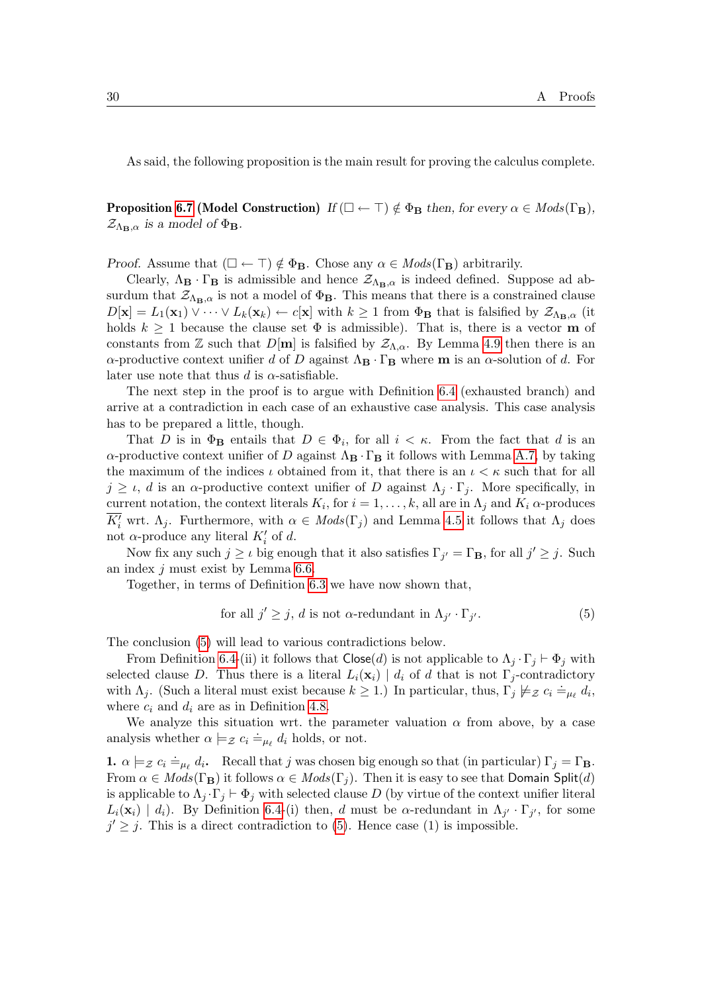As said, the following proposition is the main result for proving the calculus complete.

**Proposition [6.7](#page-19-0) (Model Construction)** If  $(\Box \leftarrow \top) \notin \Phi_B$  then, for every  $\alpha \in Mods(\Gamma_B)$ ,  $\mathcal{Z}_{\Lambda_{\mathbf{B}},\alpha}$  is a model of  $\Phi_{\mathbf{B}}$ .

Proof. Assume that  $(\Box \leftarrow \top) \notin \Phi_B$ . Chose any  $\alpha \in Mods(\Gamma_B)$  arbitrarily.

Clearly,  $\Lambda_{\mathbf{B}} \cdot \Gamma_{\mathbf{B}}$  is admissible and hence  $\mathcal{Z}_{\Lambda_{\mathbf{B}},\alpha}$  is indeed defined. Suppose ad absurdum that  $\mathcal{Z}_{\Lambda_{\mathbf{B}},\alpha}$  is not a model of  $\Phi_{\mathbf{B}}$ . This means that there is a constrained clause  $D[\mathbf{x}] = L_1(\mathbf{x}_1) \vee \cdots \vee L_k(\mathbf{x}_k) \leftarrow c[\mathbf{x}]$  with  $k \geq 1$  from  $\Phi_\mathbf{B}$  that is falsified by  $\mathcal{Z}_{\Lambda_{\mathbf{B}},\alpha}$  (it holds  $k \geq 1$  because the clause set  $\Phi$  is admissible). That is, there is a vector **m** of constants from Z such that  $D[m]$  is falsified by  $\mathcal{Z}_{\Lambda,\alpha}$ . By Lemma [4.9](#page-12-4) then there is an α-productive context unifier d of D against  $Λ$ B · Γ<sub>B</sub> where m is an α-solution of d. For later use note that thus d is  $\alpha$ -satisfiable.

The next step in the proof is to argue with Definition [6.4](#page-18-1) (exhausted branch) and arrive at a contradiction in each case of an exhaustive case analysis. This case analysis has to be prepared a little, though.

That D is in  $\Phi_{\mathbf{B}}$  entails that  $D \in \Phi_i$ , for all  $i < \kappa$ . From the fact that d is an  $\alpha$ -productive context unifier of D against  $\Lambda_{\mathbf{B}} \cdot \Gamma_{\mathbf{B}}$  it follows with Lemma [A.7,](#page-28-1) by taking the maximum of the indices  $\iota$  obtained from it, that there is an  $\iota < \kappa$  such that for all  $j \geq \iota$ , d is an  $\alpha$ -productive context unifier of D against  $\Lambda_j \cdot \Gamma_j$ . More specifically, in current notation, the context literals  $K_i$ , for  $i = 1, ..., k$ , all are in  $\Lambda_j$  and  $K_i$   $\alpha$ -produces  $\overline{K_i'}$  wrt.  $\Lambda_j$ . Furthermore, with  $\alpha \in Mods(\Gamma_j)$  and Lemma [4.5](#page-11-2) it follows that  $\Lambda_j$  does not  $\alpha$ -produce any literal  $K_i'$  of d.

Now fix any such  $j \geq \iota$  big enough that it also satisfies  $\Gamma_{j'} = \Gamma_{\mathbf{B}}$ , for all  $j' \geq j$ . Such an index j must exist by Lemma [6.6.](#page-19-1)

Together, in terms of Definition [6.3](#page-18-2) we have now shown that,

<span id="page-29-0"></span>for all 
$$
j' \geq j
$$
, d is not  $\alpha$ -redundant in  $\Lambda_{j'} \cdot \Gamma_{j'}$ . (5)

The conclusion [\(5\)](#page-29-0) will lead to various contradictions below.

From Definition [6.4-](#page-18-1)(ii) it follows that  $\text{Close}(d)$  is not applicable to  $\Lambda_i \cdot \Gamma_j \vdash \Phi_j$  with selected clause D. Thus there is a literal  $L_i(\mathbf{x}_i) \mid d_i$  of d that is not  $\Gamma_j$ -contradictory with  $\Lambda_j$ . (Such a literal must exist because  $k \geq 1$ .) In particular, thus,  $\Gamma_j \not\models z$   $c_i \doteq_{\mu_\ell} d_i$ , where  $c_i$  and  $d_i$  are as in Definition [4.8.](#page-12-0)

We analyze this situation wrt. the parameter valuation  $\alpha$  from above, by a case analysis whether  $\alpha \models z$   $c_i \doteq_{\mu_\ell} d_i$  holds, or not.

**1.**  $\alpha \models_{\mathcal{Z}} c_i \doteq_{\mu_\ell} d_i$ . Recall that j was chosen big enough so that (in particular)  $\Gamma_j = \Gamma_B$ . From  $\alpha \in Mods(\Gamma_B)$  it follows  $\alpha \in Mods(\Gamma_j)$ . Then it is easy to see that Domain Split(d) is applicable to  $\Lambda_i \cdot \Gamma_i \vdash \Phi_i$  with selected clause D (by virtue of the context unifier literal  $L_i(\mathbf{x}_i) \mid d_i$ ). By Definition [6.4-](#page-18-1)(i) then, d must be α-redundant in  $\Lambda_{j'} \cdot \Gamma_{j'}$ , for some  $j' \geq j$ . This is a direct contradiction to [\(5\)](#page-29-0). Hence case (1) is impossible.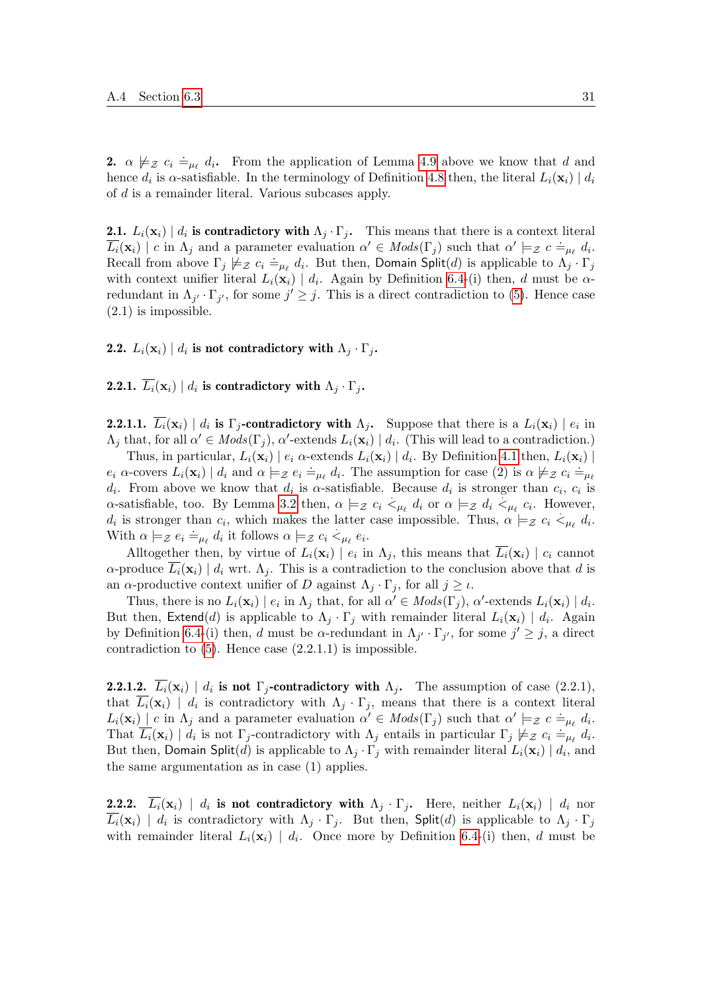**2.**  $\alpha \not\models z \ c_i \doteq_{\mu_\ell} d_i$ . From the application of Lemma [4.9](#page-12-4) above we know that d and hence  $d_i$  is  $\alpha$ -satisfiable. In the terminology of Definition [4.8](#page-12-0) then, the literal  $L_i(\mathbf{x}_i) | d_i$ of d is a remainder literal. Various subcases apply.

**2.1.**  $L_i(\mathbf{x}_i) \mid d_i$  is contradictory with  $\Lambda_j \cdot \Gamma_j$ . This means that there is a context literal  $\overline{L_i}(\mathbf{x}_i) \mid c$  in  $\Lambda_j$  and a parameter evaluation  $\alpha' \in Mods(\Gamma_j)$  such that  $\alpha' \models_{\mathcal{Z}} c \doteq_{\mu_{\ell}} d_i$ . Recall from above  $\Gamma_j \not\models z c_i \doteq_{\mu_\ell} d_i$ . But then, Domain Split(d) is applicable to  $\Lambda_j \cdot \Gamma_j$ with context unifier literal  $L_i(\mathbf{x}_i) | d_i$ . Again by Definition [6.4-](#page-18-1)(i) then, d must be  $\alpha$ redundant in  $\Lambda_{j'} \cdot \Gamma_{j'}$ , for some  $j' \geq j$ . This is a direct contradiction to [\(5\)](#page-29-0). Hence case  $(2.1)$  is impossible.

### **2.2.**  $L_i(\mathbf{x}_i) \mid d_i$  is not contradictory with  $\Lambda_j \cdot \Gamma_j$ .

**2.2.1.**  $\overline{L_i}(\mathbf{x}_i) \mid d_i$  is contradictory with  $\Lambda_j \cdot \Gamma_j$ .

**2.2.1.1.**  $L_i(\mathbf{x}_i) | d_i$  is  $\Gamma_j$ -contradictory with  $\Lambda_j$ . Suppose that there is a  $L_i(\mathbf{x}_i) | e_i$  in  $\Lambda_j$  that, for all  $\alpha' \in Mods(\Gamma_j)$ ,  $\alpha'$ -extends  $L_i(\mathbf{x}_i) \mid d_i$ . (This will lead to a contradiction.)

Thus, in particular,  $L_i(\mathbf{x}_i) | e_i \alpha$ -extends  $L_i(\mathbf{x}_i) | d_i$ . By Definition [4.1](#page-9-2) then,  $L_i(\mathbf{x}_i) |$  $e_i$   $\alpha$ -covers  $L_i(\mathbf{x}_i) \mid d_i$  and  $\alpha \models z \ e_i \doteq_{\mu_\ell} d_i$ . The assumption for case (2) is  $\alpha \not\models z \ c_i \doteq_{\mu_\ell} d_i$  $d_i$ . From above we know that  $d_i$  is  $\alpha$ -satisfiable. Because  $d_i$  is stronger than  $c_i$ ,  $c_i$  is  $\alpha$ -satisfiable, too. By Lemma [3.2](#page-8-0) then,  $\alpha \models z \ c_i \ <_{\mu_\ell} d_i$  or  $\alpha \models z \ d_i \ <_{\mu_\ell} c_i$ . However,  $d_i$  is stronger than  $c_i$ , which makes the latter case impossible. Thus,  $\alpha \models z \ c_i \lt_{\mu_\ell} d_i$ . With  $\alpha \models z \ e_i \models_{\mu_\ell} d_i$  it follows  $\alpha \models z \ c_i \leq_{\mu_\ell} e_i$ .

Alltogether then, by virtue of  $L_i(\mathbf{x}_i) | e_i$  in  $\Lambda_j$ , this means that  $L_i(\mathbf{x}_i) | c_i$  cannot  $\alpha$ -produce  $L_i(\mathbf{x}_i) \mid d_i$  wrt.  $\Lambda_j$ . This is a contradiction to the conclusion above that d is an  $\alpha$ -productive context unifier of D against  $\Lambda_j \cdot \Gamma_j$ , for all  $j \geq \iota$ .

Thus, there is no  $L_i(\mathbf{x}_i) \mid e_i$  in  $\Lambda_j$  that, for all  $\alpha' \in Mod(s(\Gamma_j), \alpha'$ -extends  $L_i(\mathbf{x}_i) \mid d_i$ . But then, Extend(d) is applicable to  $\Lambda_j \cdot \Gamma_j$  with remainder literal  $L_i(\mathbf{x}_i) \mid d_i$ . Again by Definition [6.4-](#page-18-1)(i) then, d must be  $\alpha$ -redundant in  $\Lambda_{j'} \cdot \Gamma_{j'}$ , for some  $j' \geq j$ , a direct contradiction to  $(5)$ . Hence case  $(2.2.1.1)$  is impossible.

**2.2.1.2.**  $L_i(\mathbf{x}_i) \mid d_i$  is not  $\Gamma_j$ -contradictory with  $\Lambda_j$ . The assumption of case (2.2.1), that  $L_i(\mathbf{x}_i)$  |  $d_i$  is contradictory with  $\Lambda_j \cdot \Gamma_j$ , means that there is a context literal  $L_i(\mathbf{x}_i) \mid c$  in  $\Lambda_j$  and a parameter evaluation  $\alpha' \in Mods(\Gamma_j)$  such that  $\alpha' \models z \ c \models_{\mu_\ell} d_i$ . That  $\overline{L_i}(\mathbf{x}_i) \mid d_i$  is not  $\Gamma_j$ -contradictory with  $\Lambda_j$  entails in particular  $\Gamma_j \not\models z c_i \doteq_{\mu_\ell} d_i$ . But then, Domain Split(d) is applicable to  $\Lambda_j \cdot \Gamma_j$  with remainder literal  $L_i(\mathbf{x}_i) \mid d_i$ , and the same argumentation as in case (1) applies.

**2.2.2.**  $\overline{L_i}(\mathbf{x}_i)$  |  $d_i$  is not contradictory with  $\Lambda_j \cdot \Gamma_j$ . Here, neither  $L_i(\mathbf{x}_i)$  |  $d_i$  nor  $\overline{L_i}(\mathbf{x}_i)$  |  $d_i$  is contradictory with  $\Lambda_j \cdot \Gamma_j$ . But then, Split(d) is applicable to  $\Lambda_j \cdot \Gamma_j$ with remainder literal  $L_i(\mathbf{x}_i) \mid d_i$ . Once more by Definition [6.4-](#page-18-1)(i) then, d must be